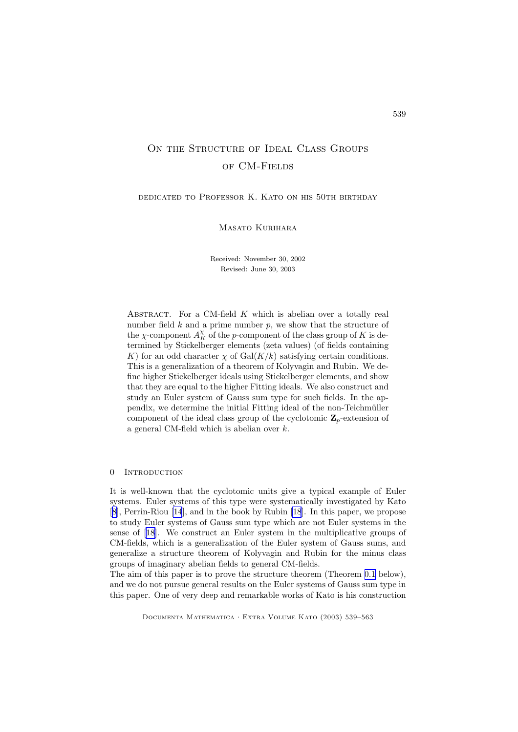# ON THE STRUCTURE OF IDEAL CLASS GROUPS of CM-Fields

dedicated to Professor K. Kato on his 50th birthday

Masato Kurihara

Received: November 30, 2002 Revised: June 30, 2003

ABSTRACT. For a CM-field  $K$  which is abelian over a totally real number field  $k$  and a prime number  $p$ , we show that the structure of the  $\chi$ -component  $A_K^{\chi}$  of the *p*-component of the class group of  $K$  is determined by Stickelberger elements (zeta values) (of fields containing K) for an odd character  $\chi$  of Gal( $K/k$ ) satisfying certain conditions. This is a generalization of a theorem of Kolyvagin and Rubin. We define higher Stickelberger ideals using Stickelberger elements, and show that they are equal to the higher Fitting ideals. We also construct and study an Euler system of Gauss sum type for such fields. In the appendix, we determine the initial Fitting ideal of the non-Teichmüller component of the ideal class group of the cyclotomic  $\mathbb{Z}_p$ -extension of a general CM-field which is abelian over k.

#### 0 INTRODUCTION

It is well-known that the cyclotomic units give a typical example of Euler systems. Euler systems of this type were systematically investigated by Kato [[8\]](#page-24-0), Perrin-Riou [\[14](#page-24-0)], and in the book by Rubin [\[18](#page-24-0)]. In this paper, we propose to study Euler systems of Gauss sum type which are not Euler systems in the sense of [[18\]](#page-24-0). We construct an Euler system in the multiplicative groups of CM-fields, which is a generalization of the Euler system of Gauss sums, and generalize a structure theorem of Kolyvagin and Rubin for the minus class groups of imaginary abelian fields to general CM-fields.

The aim of this paper is to prove the structure theorem (Theorem [0.1](#page-1-0) below), and we do not pursue general results on the Euler systems of Gauss sum type in this paper. One of very deep and remarkable works of Kato is his construction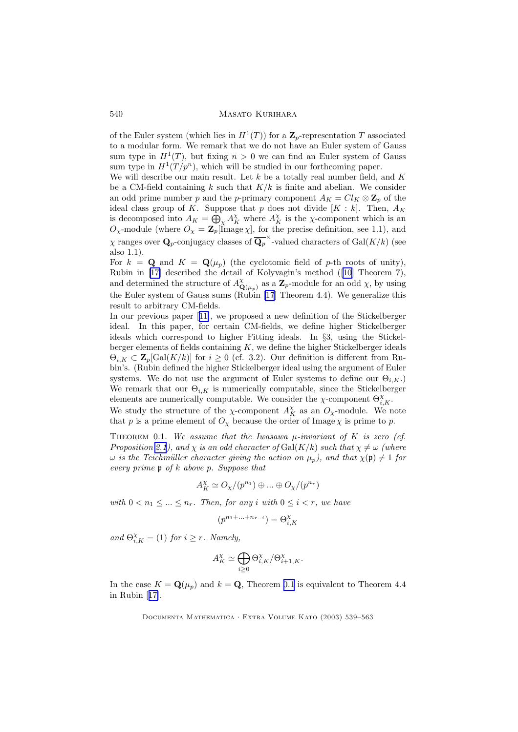<span id="page-1-0"></span>of the Euler system (which lies in  $H^1(T)$ ) for a  $\mathbb{Z}_p$ -representation T associated to a modular form. We remark that we do not have an Euler system of Gauss sum type in  $H^1(T)$ , but fixing  $n > 0$  we can find an Euler system of Gauss sum type in  $H^1(T/p^n)$ , which will be studied in our forthcoming paper.

We will describe our main result. Let k be a totally real number field, and  $K$ be a CM-field containing k such that  $K/k$  is finite and abelian. We consider an odd prime number p and the p-primary component  $A_K = Cl_K \otimes \mathbb{Z}_p$  of the ideal class group of K. Suppose that p does not divide  $[K : k]$ . Then,  $A_K$ is decomposed into  $A_K = \bigoplus_{\chi} A_K^{\chi}$  where  $A_K^{\chi}$  is the  $\chi$ -component which is an  $O_{\chi}$ -module (where  $O_{\chi} = \mathbf{Z}_p$ [Image  $\chi$ ], for the precise definition, see 1.1), and  $\chi$  ranges over  $\mathbf{Q}_p$ -conjugacy classes of  $\overline{\mathbf{Q}_p}^{\times}$ -valued characters of  $\text{Gal}(K/k)$  (see also 1.1).

For  $k = \mathbf{Q}$  and  $K = \mathbf{Q}(\mu_n)$  (the cyclotomic field of p-th roots of unity), Rubin in [[17\]](#page-24-0) described the detail of Kolyvagin's method ([\[10](#page-24-0)] Theorem 7), and determined the structure of  $A^{\chi}_{\mathbf{Q}(\mu_p)}$  as a  $\mathbf{Z}_p$ -module for an odd  $\chi$ , by using the Euler system of Gauss sums (Rubin [\[17](#page-24-0)] Theorem 4.4). We generalize this result to arbitrary CM-fields.

In our previous paper [[11\]](#page-24-0), we proposed a new definition of the Stickelberger ideal. In this paper, for certain CM-fields, we define higher Stickelberger ideals which correspond to higher Fitting ideals. In §3, using the Stickelberger elements of fields containing  $K$ , we define the higher Stickelberger ideals  $\Theta_{i,K} \subset \mathbf{Z}_p[\text{Gal}(K/k)]$  for  $i \geq 0$  (cf. 3.2). Our definition is different from Rubin's. (Rubin defined the higher Stickelberger ideal using the argument of Euler systems. We do not use the argument of Euler systems to define our  $\Theta_{i,K}$ . We remark that our  $\Theta_{i,K}$  is numerically computable, since the Stickelberger elements are numerically computable. We consider the  $\chi$ -component  $\Theta_{i,K}^{\chi}$ .

We study the structure of the  $\chi$ -component  $A_K^{\chi}$  as an  $O_{\chi}$ -module. We note that p is a prime element of  $O<sub>x</sub>$  because the order of Image  $\chi$  is prime to p.

THEOREM 0.1. We assume that the Iwasawa  $\mu$ -invariant of K is zero (cf. Proposition [2.1](#page-5-0)), and  $\chi$  is an odd character of Gal(K/k) such that  $\chi \neq \omega$  (where  $ω$  is the Teichmüller character giving the action on  $\mu_p$ ), and that  $\chi$ (**p**)  $\neq$  1 for every prime p of k above p. Suppose that

$$
A_K^\chi \simeq O_\chi/(p^{n_1}) \oplus \ldots \oplus O_\chi/(p^{n_r})
$$

with  $0 < n_1 \leq ... \leq n_r$ . Then, for any i with  $0 \leq i < r$ , we have

$$
(p^{n_1 + \ldots + n_{r-i}}) = \Theta^{\chi}_{i,K}
$$

and  $\Theta_{i,K}^{\chi} = (1)$  for  $i \geq r$ . Namely,

$$
A_K^{\chi} \simeq \bigoplus_{i \geq 0} \Theta_{i,K}^{\chi}/\Theta_{i+1,K}^{\chi}.
$$

In the case  $K = \mathbf{Q}(\mu_p)$  and  $k = \mathbf{Q}$ , Theorem 0.1 is equivalent to Theorem 4.4 in Rubin [[17\]](#page-24-0).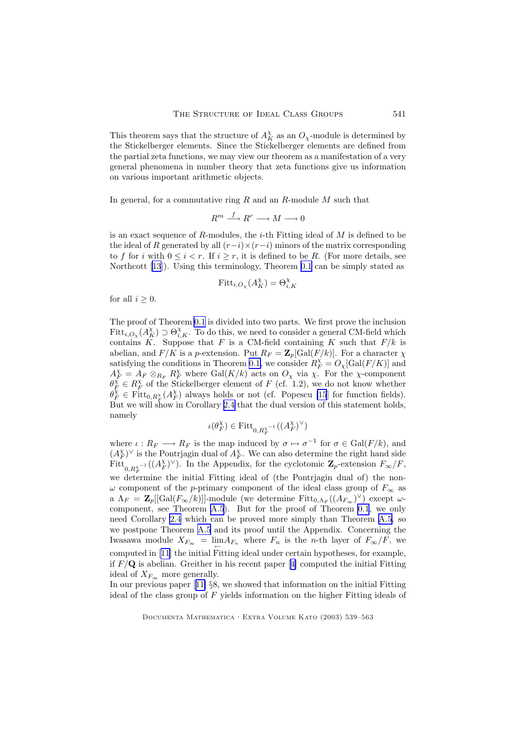This theorem says that the structure of  $A_K^{\chi}$  as an  $O_{\chi}$ -module is determined by the Stickelberger elements. Since the Stickelberger elements are defined from the partial zeta functions, we may view our theorem as a manifestation of a very general phenomena in number theory that zeta functions give us information on various important arithmetic objects.

In general, for a commutative ring  $R$  and an  $R$ -module  $M$  such that

$$
R^m \stackrel{f}{\longrightarrow} R^r \longrightarrow M \longrightarrow 0
$$

is an exact sequence of  $R$ -modules, the *i*-th Fitting ideal of  $M$  is defined to be the ideal of R generated by all  $(r-i)\times(r-i)$  minors of the matrix corresponding to f for i with  $0 \leq i \leq r$ . If  $i \geq r$ , it is defined to be R. (For more details, see Northcott [\[13](#page-24-0)]). Using this terminology, Theorem [0.1](#page-1-0) can be simply stated as

$$
\text{Fitt}_{i,O_{\chi}}(A_K^{\chi}) = \Theta_{i,K}^{\chi}
$$

for all  $i \geq 0$ .

The proof of Theorem [0.1](#page-1-0) is divided into two parts. We first prove the inclusion  $Fitt_{i,O_x}(A_K^{\chi}) \supset \Theta_{i,K}^{\chi}$ . To do this, we need to consider a general CM-field which contains K. Suppose that F is a CM-field containing K such that  $F/k$  is abelian, and  $F/K$  is a p-extension. Put  $R_F = \mathbb{Z}_p[\text{Gal}(F/k)]$ . For a character  $\chi$ satisfying the conditions in Theorem [0.1,](#page-1-0) we consider  $R_F^{\chi} = O_{\chi}[\text{Gal}(F/K)]$  and  $A_F^{\chi} = A_F \otimes_{R_F} R_F^{\chi}$  where  $Gal(K/k)$  acts on  $O_{\chi}$  via  $\chi$ . For the  $\chi$ -component  $\theta_F^{\vec{\chi}} \in R_F^{\chi}$  of the Stickelberger element of F (cf. 1.2), we do not know whether  $\theta_F^{\tilde{\chi}} \in \text{Fitt}_{0,R_F^{\chi}}(A_F^{\chi})$  always holds or not (cf. Popescu [\[15](#page-24-0)] for function fields). But we will show in Corollary [2.4](#page-8-0) that the dual version of this statement holds, namely

$$
\iota(\theta_F^\chi)\in {\rm Fitt}_{0,R_F^{\chi^{-1}}}( (A_F^\chi)^\vee)
$$

where  $\iota: R_F \longrightarrow R_F$  is the map induced by  $\sigma \mapsto \sigma^{-1}$  for  $\sigma \in \text{Gal}(F/k)$ , and  $(A_F^{\chi})^{\vee}$  is the Pontrjagin dual of  $A_F^{\chi}$ . We can also determine the right hand side Fitt<sub>0, $R_F^{\chi^{-1}}((A_F^{\chi})^{\vee})$ . In the Appendix, for the cyclotomic  $\mathbf{Z}_p$ -extension  $F_{\infty}/F$ ,</sub> we determine the initial Fitting ideal of (the Pontrjagin dual of) the non- $\omega$  component of the p-primary component of the ideal class group of  $F_{\infty}$  as a  $\Lambda_F = \mathbf{Z}_p[[\text{Gal}(F_{\infty}/k)]]$ -module (we determine  $\text{Fitt}_{0,\Lambda_F}((A_{F_{\infty}})^{\vee})$  except  $\omega$ component, see Theorem [A.5](#page-23-0)). But for the proof of Theorem [0.1](#page-1-0), we only need Corollary [2.4](#page-8-0) which can be proved more simply than Theorem [A.5](#page-23-0), so we postpone Theorem [A.5](#page-23-0) and its proof until the Appendix. Concerning the Iwasawa module  $X_{F_{\infty}} = \lim_{\leftarrow} A_{F_n}$  where  $F_n$  is the *n*-th layer of  $F_{\infty}/F$ , we computed in [[11\]](#page-24-0) the initial Fitting ideal under certain hypotheses, for example, if  $F/\mathbf{Q}$  is abelian. Greither in his recent paper [[4\]](#page-23-0) computed the initial Fitting ideal of  $X_{F_{\infty}}$  more generally.

In our previous paper [[11\]](#page-24-0) §8, we showed that information on the initial Fitting ideal of the class group of  $F$  yields information on the higher Fitting ideals of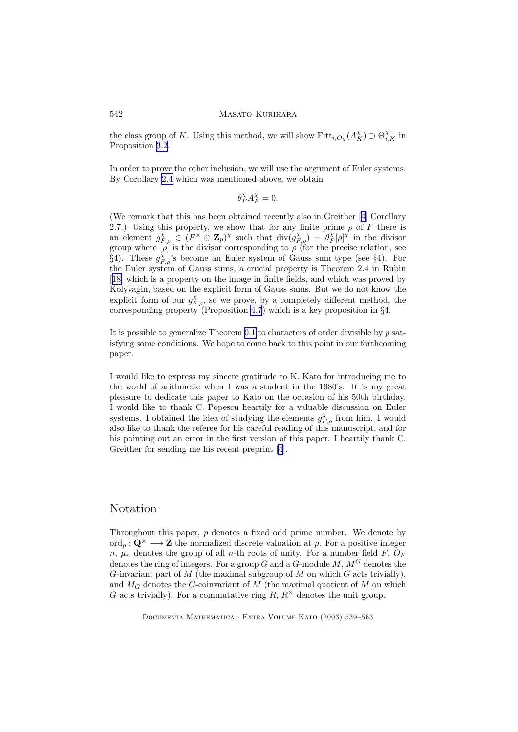the class group of K. Using this method, we will show  $Fitt_{i,O_\chi}(A_K^{\chi}) \supset \Theta_{i,K}^{\chi}$  in Proposition [3.2](#page-10-0).

In order to prove the other inclusion, we will use the argument of Euler systems. By Corollary [2.4](#page-8-0) which was mentioned above, we obtain

$$
\theta_F^\chi A_F^\chi=0.
$$

(We remark that this has been obtained recently also in Greither [[4\]](#page-23-0) Corollary 2.7.) Using this property, we show that for any finite prime  $\rho$  of F there is an element  $g_{F,\rho}^{\chi} \in (F^{\times} \otimes \mathbb{Z}_p)^{\chi}$  such that  $\text{div}(g_{F,\rho}^{\chi}) = \theta_F^{\chi}[\rho]^{\chi}$  in the divisor group where  $[\rho]$  is the divisor corresponding to  $\rho$  (for the precise relation, see §4). These  $g_{F,\rho}^{\chi}$ 's become an Euler system of Gauss sum type (see §4). For the Euler system of Gauss sums, a crucial property is Theorem 2.4 in Rubin [[18\]](#page-24-0) which is a property on the image in finite fields, and which was proved by Kolyvagin, based on the explicit form of Gauss sums. But we do not know the explicit form of our  $g_{F,\rho}^{\chi}$ , so we prove, by a completely different method, the corresponding property (Proposition [4.7](#page-15-0)) which is a key proposition in  $\S4$ .

It is possible to generalize Theorem  $0.1$  to characters of order divisible by  $p$  satisfying some conditions. We hope to come back to this point in our forthcoming paper.

I would like to express my sincere gratitude to K. Kato for introducing me to the world of arithmetic when I was a student in the 1980's. It is my great pleasure to dedicate this paper to Kato on the occasion of his 50th birthday. I would like to thank C. Popescu heartily for a valuable discussion on Euler systems. I obtained the idea of studying the elements  $g_{F,\rho}^{\chi}$  from him. I would also like to thank the referee for his careful reading of this manuscript, and for his pointing out an error in the first version of this paper. I heartily thank C. Greither for sending me his recent preprint [[4\]](#page-23-0).

# Notation

Throughout this paper, p denotes a fixed odd prime number. We denote by  $\text{ord}_p : \mathbf{Q}^{\times} \longrightarrow \mathbf{Z}$  the normalized discrete valuation at p. For a positive integer n,  $\mu_n$  denotes the group of all n-th roots of unity. For a number field F,  $O_F$ denotes the ring of integers. For a group G and a G-module M,  $M<sup>G</sup>$  denotes the G-invariant part of  $M$  (the maximal subgroup of  $M$  on which  $G$  acts trivially), and  $M_G$  denotes the G-coinvariant of M (the maximal quotient of M on which G acts trivially). For a commutative ring R,  $R^{\times}$  denotes the unit group.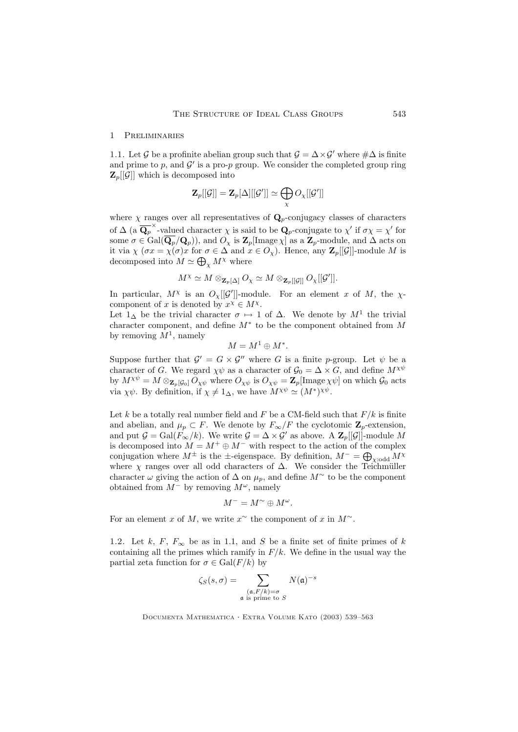#### 1 Preliminaries

1.1. Let G be a profinite abelian group such that  $\mathcal{G} = \Delta \times \mathcal{G}'$  where  $\#\Delta$  is finite and prime to  $p$ , and  $\mathcal{G}'$  is a pro- $p$  group. We consider the completed group ring  $\mathbf{Z}_p[[\mathcal{G}]]$  which is decomposed into

$$
\mathbf{Z}_p[[\mathcal{G}]]=\mathbf{Z}_p[\Delta][[\mathcal{G}']] \simeq \bigoplus_{\chi} O_{\chi}[[\mathcal{G}']]
$$

where  $\chi$  ranges over all representatives of  $\mathbf{Q}_p$ -conjugacy classes of characters of  $\Delta$  (a  $\overline{\mathbf{Q}_p}^{\times}$ -valued character  $\chi$  is said to be  $\mathbf{Q}_p$ -conjugate to  $\chi'$  if  $\sigma \chi = \chi'$  for some  $\sigma \in \text{Gal}(\overline{\mathbf{Q}_p}/\mathbf{Q}_p)$ , and  $O_\chi$  is  $\mathbf{Z}_p[\text{Image } \chi]$  as a  $\mathbf{Z}_p$ -module, and  $\Delta$  acts on it via  $\chi(\sigma x = \chi(\sigma)x$  for  $\sigma \in \Delta$  and  $x \in O_{\chi}$ ). Hence, any  $\mathbb{Z}_p[[\mathcal{G}]]$ -module M is decomposed into  $M \simeq \bigoplus_{\chi} M^{\chi}$  where

$$
M^{\chi} \simeq M \otimes_{\mathbf{Z}_p[\Delta]} O_{\chi} \simeq M \otimes_{\mathbf{Z}_p[[\mathcal{G}]]} O_{\chi}[[\mathcal{G}']].
$$

In particular,  $M^{\chi}$  is an  $O_{\chi}[[\mathcal{G}']]$ -module. For an element x of M, the  $\chi$ component of x is denoted by  $x^{\chi} \in M^{\chi}$ .

Let  $1_{\Delta}$  be the trivial character  $\sigma \mapsto 1$  of  $\Delta$ . We denote by  $M^1$  the trivial character component, and define  $M^*$  to be the component obtained from  $M$ by removing  $M^1$ , namely

$$
M = M^1 \oplus M^*.
$$

Suppose further that  $\mathcal{G}' = G \times \mathcal{G}''$  where G is a finite p-group. Let  $\psi$  be a character of G. We regard  $\chi \psi$  as a character of  $\mathcal{G}_0 = \Delta \times G$ , and define  $M^{\chi \psi}$ by  $M^{\chi\psi} = M \otimes_{\mathbf{Z}_p[\mathcal{G}_0]} O_{\chi\psi}$  where  $O_{\chi\psi}$  is  $O_{\chi\psi} = \mathbf{Z}_p[\text{Image }\chi\psi]$  on which  $\mathcal{G}_0$  acts via  $\chi \psi$ . By definition, if  $\chi \neq 1_{\Delta}$ , we have  $M^{\chi \psi} \simeq (M^*)^{\chi \psi}$ .

Let k be a totally real number field and F be a CM-field such that  $F/k$  is finite and abelian, and  $\mu_p \subset F$ . We denote by  $F_{\infty}/F$  the cyclotomic  $\mathbb{Z}_p$ -extension, and put  $\mathcal{G} = \text{Gal}(\hat{F}_{\infty}/k)$ . We write  $\mathcal{G} = \Delta \times \mathcal{G}'$  as above. A  $\mathbb{Z}_p[[\mathcal{G}]]$ -module M is decomposed into  $M = M^+ \oplus M^-$  with respect to the action of the complex conjugation where  $M^{\pm}$  is the  $\pm$ -eigenspace. By definition,  $M^{-} = \bigoplus_{\chi \text{odd}} M^{\chi}$ where  $\chi$  ranges over all odd characters of  $\Delta$ . We consider the Teichmüller character  $\omega$  giving the action of  $\Delta$  on  $\mu_p$ , and define  $M^{\sim}$  to be the component obtained from  $M^-$  by removing  $M^\omega$ , namely

$$
M^- = M^\sim \oplus M^\omega.
$$

For an element x of M, we write  $x^{\sim}$  the component of x in  $M^{\sim}$ .

1.2. Let k, F,  $F_{\infty}$  be as in 1.1, and S be a finite set of finite primes of k containing all the primes which ramify in  $F/k$ . We define in the usual way the partial zeta function for  $\sigma \in \text{Gal}(F/k)$  by

$$
\zeta_S(s,\sigma) = \sum_{\substack{(\mathfrak{a}, F/k) = \sigma \\ \mathfrak{a} \text{ is prime to } S}} N(\mathfrak{a})^{-s}
$$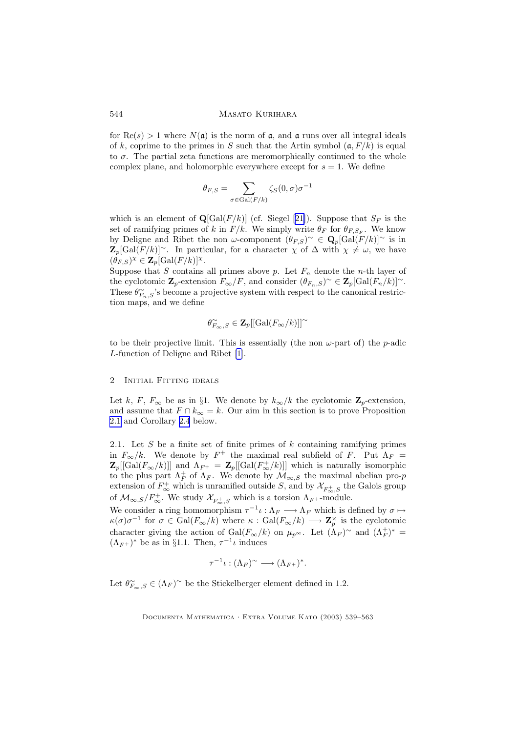<span id="page-5-0"></span>for  $\text{Re}(s) > 1$  where  $N(\mathfrak{a})$  is the norm of  $\mathfrak{a}$ , and  $\mathfrak{a}$  runs over all integral ideals of k, coprime to the primes in S such that the Artin symbol  $(a, F/k)$  is equal to  $\sigma$ . The partial zeta functions are meromorphically continued to the whole complex plane, and holomorphic everywhere except for  $s = 1$ . We define

$$
\theta_{F,S} = \sum_{\sigma \in \text{Gal}(F/k)} \zeta_S(0, \sigma) \sigma^{-1}
$$

which is an element of  $\mathbf{Q}[\text{Gal}(F/k)]$  (cf. Siegel [[21\]](#page-24-0)). Suppose that  $S_F$  is the set of ramifying primes of k in  $F/k$ . We simply write  $\theta_F$  for  $\theta_{F,S_F}$ . We know by Deligne and Ribet the non  $\omega$ -component  $(\theta_{F,S})^{\sim} \in \mathbf{Q}_p[\text{Gal}(F/k)]^{\sim}$  is in  $\mathbf{Z}_p[\text{Gal}(F/k)]^{\sim}$ . In particular, for a character  $\chi$  of  $\Delta$  with  $\chi \neq \omega$ , we have  $(\theta_{F,S})^{\chi} \in \mathbf{Z}_p[\text{Gal}(F/k)]^{\chi}.$ 

Suppose that S contains all primes above p. Let  $F_n$  denote the n-th layer of the cyclotomic  $\mathbf{Z}_p$ -extension  $F_{\infty}/F$ , and consider  $(\theta_{F_n,S})^{\sim} \in \mathbf{Z}_p[\text{Gal}(F_n/k)]^{\sim}$ . These  $\theta_{F_n,S}^{\sim}$ 's become a projective system with respect to the canonical restriction maps, and we define

$$
\theta_{F_\infty,S}^\sim\in \mathbf{Z}_p[[\mathrm{Gal}(F_\infty/k)]]^\sim
$$

to be their projective limit. This is essentially (the non  $\omega$ -part of) the *p*-adic L-function of Deligne and Ribet [\[1](#page-23-0)].

## 2 Initial Fitting ideals

Let k, F,  $F_{\infty}$  be as in §1. We denote by  $k_{\infty}/k$  the cyclotomic  $\mathbb{Z}_p$ -extension, and assume that  $F \cap k_{\infty} = k$ . Our aim in this section is to prove Proposition 2.1 and Corollary [2.4](#page-8-0) below.

2.1. Let S be a finite set of finite primes of  $k$  containing ramifying primes in  $F_{\infty}/k$ . We denote by  $F^+$  the maximal real subfield of F. Put  $\Lambda_F =$  $\mathbf{Z}_p[[\text{Gal}(F_{\infty}/k)]]$  and  $\Lambda_{F^+} = \mathbf{Z}_p[[\text{Gal}(F_{\infty}^+/k)]]$  which is naturally isomorphic to the plus part  $\Lambda_F^+$  of  $\Lambda_F$ . We denote by  $\mathcal{M}_{\infty,S}$  the maximal abelian pro-*p* extension of  $F^+_{\infty}$  which is unramified outside S, and by  $\mathcal{X}_{F^+_{\infty},S}$  the Galois group of  $\mathcal{M}_{\infty,S}/F_{\infty}^+$ . We study  $\mathcal{X}_{F_{\infty}^+,S}$  which is a torsion  $\Lambda_{F^+}$ -module.

We consider a ring homomorphism  $\tau^{-1}\iota : \Lambda_F \longrightarrow \Lambda_F$  which is defined by  $\sigma \mapsto$  $\kappa(\sigma)\sigma^{-1}$  for  $\sigma \in \text{Gal}(F_{\infty}/k)$  where  $\kappa : \text{Gal}(F_{\infty}/k) \longrightarrow \mathbf{Z}_p^{\times}$  is the cyclotomic character giving the action of  $Gal(F_{\infty}/k)$  on  $\mu_{p^{\infty}}$ . Let  $(\Lambda_F)^{\sim}$  and  $(\Lambda_F^+)^*$  =  $(\Lambda_{F^+})^*$  be as in §1.1. Then,  $\tau^{-1}\iota$  induces

$$
\tau^{-1}\iota : (\Lambda_F)^\sim \longrightarrow (\Lambda_{F^+})^*.
$$

Let  $\theta_{F_\infty,S}^{\sim} \in (\Lambda_F)^\sim$  be the Stickelberger element defined in 1.2.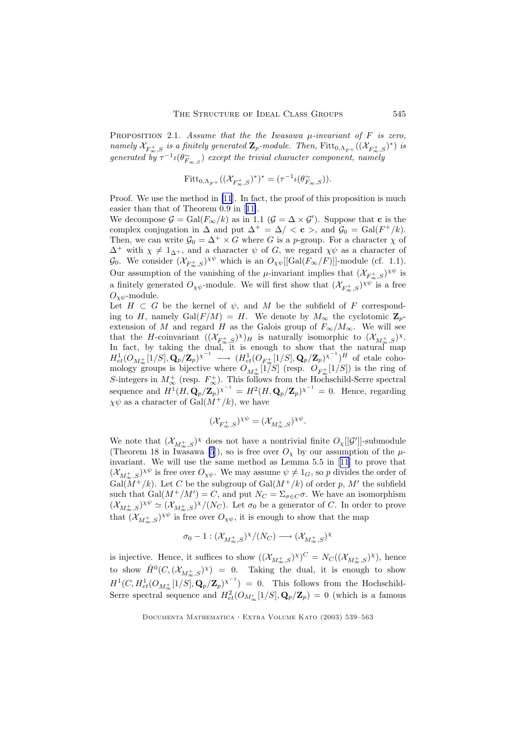PROPOSITION 2.1. Assume that the the Iwasawa  $\mu$ -invariant of F is zero, namely  $\mathcal{X}_{F_\infty^+,S}$  is a finitely generated  $\mathbf{Z}_p$ -module. Then,  $\text{Fitt}_{0,\Lambda_{F^+}}((\mathcal{X}_{F_\infty^+,S})^*)$  is generated by  $\tau^{-1} \iota(\theta_{F_{\infty,S}}^{\sim})$  except the trivial character component, namely

$$
\text{Fitt}_{0,\Lambda_{F^+}}((\mathcal{X}_{F^+_{\infty},S})^*)^* = (\tau^{-1}\iota(\theta_{F_{\infty},S}^{\sim})).
$$

Proof. We use the method in [\[11](#page-24-0)]. In fact, the proof of this proposition is much easier than that of Theorem 0.9 in [[11\]](#page-24-0).

We decompose  $\mathcal{G} = \text{Gal}(F_{\infty}/k)$  as in 1.1  $(\mathcal{G} = \Delta \times \mathcal{G}')$ . Suppose that **c** is the complex conjugation in  $\Delta$  and put  $\Delta^+ = \Delta / < c >$ , and  $\mathcal{G}_0 = \text{Gal}(F^+ / k)$ . Then, we can write  $\mathcal{G}_0 = \Delta^+ \times G$  where G is a p-group. For a character  $\chi$  of  $\Delta^+$  with  $\chi \neq 1_{\Delta^+}$ , and a character  $\psi$  of G, we regard  $\chi \psi$  as a character of  $\mathcal{G}_0$ . We consider  $(\mathcal{X}_{F_\infty^+,S})^{\chi\psi}$  which is an  $O_{\chi\psi}[[\text{Gal}(F_\infty/F)]]$ -module (cf. 1.1). Our assumption of the vanishing of the  $\mu$ -invariant implies that  $(\mathcal{X}_{F_{\infty},S})^{\chi\psi}$  is a finitely generated  $O_{\chi\psi}$ -module. We will first show that  $(\mathcal{X}_{F_\infty^+,S})^{\chi\psi}$  is a free  $O_{\chi\psi}$ -module.

Let  $H \subset G$  be the kernel of  $\psi$ , and M be the subfield of F corresponding to H, namely Gal $(F/M) = H$ . We denote by  $M_{\infty}$  the cyclotomic  $\mathbb{Z}_p$ extension of M and regard H as the Galois group of  $F_{\infty}/M_{\infty}$ . We will see that the H-coinvariant  $((\mathcal{X}_{F_{\infty}^+,S})^{\chi})_H$  is naturally isomorphic to  $(\mathcal{X}_{M_{\infty}^+,S})^{\chi}$ . In fact, by taking the dual, it is enough to show that the natural map  $H^1_{et}(O_{M^+_{\infty}}[1/S], \mathbf{Q}_p/\mathbf{Z}_p)^{\chi^{-1}} \longrightarrow (H^1_{et}(O_{F^+_{\infty}}[1/S], \mathbf{Q}_p/\mathbf{Z}_p)^{\chi^{-1}})^H$  of etale cohomology groups is bijective where  $O_{M^+_{\infty}}[1/S]$  (resp.  $O_{F^+_{\infty}}[1/S])$  is the ring of S-integers in  $M^{\pm}_{\infty}$  (resp.  $F^{\pm}_{\infty}$ ). This follows from the Hochschild-Serre spectral sequence and  $H^1(H, \mathbf{Q}_p/\mathbf{Z}_p)^{\chi^{-1}} = H^2(H, \mathbf{Q}_p/\mathbf{Z}_p)^{\chi^{-1}} = 0$ . Hence, regarding  $\chi\psi$  as a character of Gal( $\dot{M}^+/k$ ), we have

$$
(\mathcal{X}_{F_\infty^+,S})^{\chi\psi}=(\mathcal{X}_{M_\infty^+,S})^{\chi\psi}.
$$

We note that  $(\mathcal{X}_{M^+_{\infty},S})^{\chi}$  does not have a nontrivial finite  $O_{\chi}[[\mathcal{G}']]$ -submodule (Theorem 18 in Iwasawa [\[5](#page-23-0)]), so is free over  $O_\chi$  by our assumption of the  $\mu$ invariant. We will use the same method as Lemma 5.5 in [[11\]](#page-24-0) to prove that  $(\mathcal{X}_{M_{\infty},S})^{\chi\psi}$  is free over  $O_{\chi\psi}$ . We may assume  $\psi \neq 1_G$ , so p divides the order of  $Gal(M^+/k)$ . Let C be the subgroup of  $Gal(M^+/k)$  of order p, M' the subfield such that  $Gal(M^+/M') = C$ , and put  $N_C = \sum_{\sigma \in C} \sigma$ . We have an isomorphism  $(\mathcal{X}_{M_{\infty},S})^{\chi\psi} \simeq (\mathcal{X}_{M_{\infty},S})^{\chi}/(N_C)$ . Let  $\sigma_0$  be a generator of C. In order to prove that  $(\mathcal{X}_{M_{\infty},S})^{\chi\psi}$  is free over  $O_{\chi\psi}$ , it is enough to show that the map

$$
\sigma_0-1: (\mathcal{X}_{M^+_{\infty},S})^{\chi}/(N_C) \longrightarrow (\mathcal{X}_{M^+_{\infty},S})^{\chi}
$$

is injective. Hence, it suffices to show  $((\mathcal{X}_{M_{\infty},S})^{\chi})^C = N_C((\mathcal{X}_{M_{\infty},S})^{\chi})$ , hence to show  $\hat{H}^0(C,(\mathcal{X}_{M_{\infty},S})^{\chi}) = 0$ . Taking the dual, it is enough to show  $H^1(C, H^1_{et}(O_{M^+_{\infty}}[1/S], \mathbf{Q}_p/\mathbf{Z}_p)^{\chi^{-1}}) = 0.$  This follows from the Hochschild-Serre spectral sequence and  $H^2_{et}(O_{M'_{\infty}}[1/S], \mathbf{Q}_p/\mathbf{Z}_p) = 0$  (which is a famous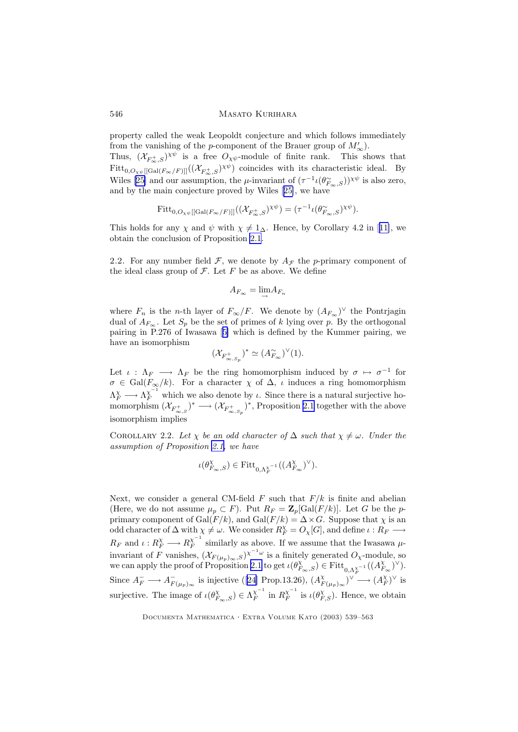property called the weak Leopoldt conjecture and which follows immediately from the vanishing of the *p*-component of the Brauer group of  $M'_{\infty}$ ).

Thus,  $(\mathcal{X}_{F_{\infty},S})^{\chi\psi}$  is a free  $O_{\chi\psi}$ -module of finite rank. This shows that  $Fitt_{0, O_{\chi\psi}[[Gal(F_{\infty}/F)]]}((X_{F_{\infty},S})^{\chi\psi})$  coincides with its characteristic ideal. By Wiles [\[25](#page-24-0)] and our assumption, the  $\mu$ -invariant of  $(\tau^{-1} \iota(\theta_{F_\infty,S}))^{\chi \psi}$  is also zero, and by the main conjecture proved by Wiles [[25\]](#page-24-0), we have

$$
\mathrm{Fitt}_{0,O_{\chi\psi}[[\mathrm{Gal}(F_{\infty}/F)]]}((\mathcal{X}_{F_{\infty}^+,S})^{\chi\psi})=(\tau^{-1}\iota(\theta_{F_{\infty},S}^{\sim})^{\chi\psi}).
$$

This holds for any  $\chi$  and  $\psi$  with  $\chi \neq 1$ ∆. Hence, by Corollary 4.2 in [[11\]](#page-24-0), we obtain the conclusion of Proposition [2.1](#page-5-0).

2.2. For any number field  $\mathcal F$ , we denote by  $A_{\mathcal F}$  the p-primary component of the ideal class group of  $\mathcal F$ . Let  $F$  be as above. We define

$$
A_{F_{\infty}} = \lim_{\rightarrow} A_{F_n}
$$

where  $F_n$  is the n-th layer of  $F_{\infty}/F$ . We denote by  $(A_{F_{\infty}})^{\vee}$  the Pontrjagin dual of  $A_{F_\infty}$ . Let  $S_p$  be the set of primes of k lying over p. By the orthogonal pairing in P.276 of Iwasawa [[5\]](#page-23-0) which is defined by the Kummer pairing, we have an isomorphism

$$
(\mathcal{X}_{F_{\infty,S_p}^+})^*\simeq (A_{F_\infty}^\sim)^\vee(1).
$$

Let  $\iota : \Lambda_F \longrightarrow \Lambda_F$  be the ring homomorphism induced by  $\sigma \mapsto \sigma^{-1}$  for  $\sigma \in \text{Gal}(F_{\infty}/k)$ . For a character  $\chi$  of  $\Delta$ ,  $\iota$  induces a ring homomorphism  $\Lambda_F^{\chi} \longrightarrow \Lambda_F^{\chi^{-1}}$  which we also denote by  $\iota$ . Since there is a natural surjective homomorphism  $(\mathcal{X}_{F_{\infty,S}^+})^* \longrightarrow (\mathcal{X}_{F_{\infty,S_p}^+})^*$ , Proposition [2.1](#page-5-0) together with the above isomorphism implies

COROLLARY 2.2. Let  $\chi$  be an odd character of  $\Delta$  such that  $\chi \neq \omega$ . Under the assumption of Proposition [2.1,](#page-5-0) we have

$$
\iota(\theta^{\chi}_{F_{\infty},S})\in {\rm Fitt}_{0,\Lambda_F^{\chi^{-1}}}( (A_{F_{\infty}}^{\chi})^{\vee}).
$$

Next, we consider a general CM-field  $F$  such that  $F/k$  is finite and abelian (Here, we do not assume  $\mu_p \subset F$ ). Put  $R_F = \mathbb{Z}_p[\text{Gal}(F/k)]$ . Let G be the pprimary component of  $Gal(F/k)$ , and  $Gal(F/k) = \Delta \times G$ . Suppose that  $\chi$  is an odd character of  $\Delta$  with  $\chi \neq \omega$ . We consider  $R_K^\chi = O_\chi[G]$ , and define  $\iota : R_F \longrightarrow$  $R_F$  and  $\iota: R_F^{\chi} \longrightarrow R_F^{\chi^{-1}}$  $\frac{\chi}{F}$  similarly as above. If we assume that the Iwasawa  $\mu$ invariant of F vanishes,  $(\mathcal{X}_{F(\mu_p)_\infty,S})^{\chi^{-1}\omega}$  is a finitely generated  $O_\chi$ -module, so we can apply the proof of Proposition [2.1](#page-5-0) to get  $\iota(\theta_{F_\infty,S}^{\chi}) \in \text{Fitt}_{0,\Lambda_F^{\chi}}(A_{F_\infty}^{\chi})^{\vee}$ . Since  $A_F^- \longrightarrow A_{F(\mu_p)_{\infty}}^-$  is injective ([\[24](#page-24-0)] Prop.13.26),  $(A_F^{\chi_p})$  $_{F(\mu_p)_{\infty}}^{\chi})^{\vee} \longrightarrow (A_F^{\chi})^{\vee}$  is surjective. The image of  $\iota(\theta_{F_{\infty},S}^{\chi}) \in \Lambda_F^{\chi^{-1}}$  $\chi_F^{-1}$  in  $R_F^{\chi^{-1}}$  $\overline{X}^{-1}_F$  is  $\iota(\theta^{\chi}_{F,S})$ . Hence, we obtain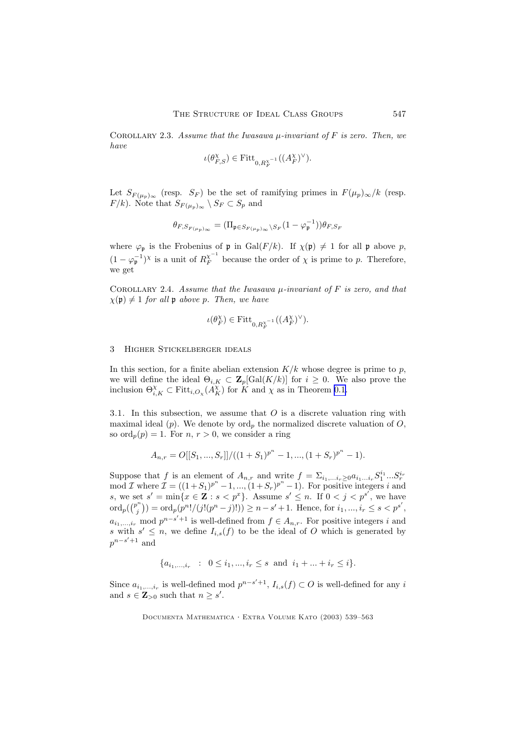<span id="page-8-0"></span>COROLLARY 2.3. Assume that the Iwasawa  $\mu$ -invariant of F is zero. Then, we have

$$
\iota(\theta_{F,S}^\chi)\in {\rm Fitt}_{0,R_F^{\chi^{-1}}}( (A_F^\chi)^\vee).
$$

Let  $S_{F(\mu_p)_\infty}$  (resp.  $S_F$ ) be the set of ramifying primes in  $F(\mu_p)_\infty/k$  (resp.  $F/k$ ). Note that  $S_{F(\mu_p)_{\infty}} \setminus S_F \subset S_p$  and

$$
\theta_{F,S_{F(\mu_p)}_\infty}=(\Pi_{\mathfrak{p}\in S_{F(\mu_p)}_\infty\setminus S_F}(1-\varphi_{\mathfrak{p}}^{-1}))\theta_{F,S_F}
$$

where  $\varphi_{\mathfrak{p}}$  is the Frobenius of  $\mathfrak{p}$  in Gal( $F/k$ ). If  $\chi(\mathfrak{p})\neq 1$  for all  $\mathfrak{p}$  above p,  $(1 - \varphi_{\mathfrak{p}}^{-1})^{\chi}$  is a unit of  $R_F^{\chi^{-1}}$  $K_F^{\chi}$  because the order of  $\chi$  is prime to p. Therefore, we get

COROLLARY 2.4. Assume that the Iwasawa  $\mu$ -invariant of F is zero, and that  $\chi(\mathfrak{p}) \neq 1$  for all  $\mathfrak{p}$  above p. Then, we have

$$
\iota(\theta_F^{\chi})\in {\rm Fitt}_{0,R_F^{\chi^{-1}}}( (A_F^{\chi})^{\vee}).
$$

# 3 Higher Stickelberger ideals

In this section, for a finite abelian extension  $K/k$  whose degree is prime to p, we will define the ideal  $\Theta_{i,K} \subset \mathbf{Z}_p[\text{Gal}(K/k)]$  for  $i \geq 0$ . We also prove the inclusion  $\Theta_{i,K}^{\chi} \subset \text{Fitt}_{i,O_{\chi}}(A_K^{\chi})$  for K and  $\chi$  as in Theorem [0.1.](#page-1-0)

3.1. In this subsection, we assume that  $O$  is a discrete valuation ring with maximal ideal (p). We denote by  $\text{ord}_p$  the normalized discrete valuation of O, so  $\operatorname{ord}_n(p) = 1$ . For  $n, r > 0$ , we consider a ring

$$
A_{n,r} = O[[S_1, ..., S_r]]/((1 + S_1)^{p^n} - 1, ..., (1 + S_r)^{p^n} - 1).
$$

Suppose that f is an element of  $A_{n,r}$  and write  $f = \sum_{i_1,\ldots,i_r\geq 0} a_{i_1\ldots i_r} S_1^{i_1} \ldots S_r^{i_r}$ <br>mod  $\mathcal I$  where  $\mathcal I = ((1+S_1)^{p^n}-1,\ldots,(1+S_r)^{p^n}-1)$ . For positive integers i and s, we set  $s' = \min\{x \in \mathbf{Z} : s < p^x\}$ . Assume  $s' \leq n$ . If  $0 < j < p^{s'}$ , we have  $\operatorname{ord}_p(\binom{p^n}{i}$  $\mathcal{P}_{j}^{(n)}$ ) = ord<sub>p</sub>( $p^{n!}/(j!(p^{n}-j)!)$ ) ≥  $n-s'+1$ . Hence, for  $i_1, ..., i_r \le s < p^{s'}$ ,  $a_{i_1,\ldots,i_r}$  mod  $p^{n-s'+1}$  is well-defined from  $f \in A_{n,r}$ . For positive integers i and s with  $s' \leq n$ , we define  $I_{i,s}(f)$  to be the ideal of O which is generated by  $p^{n-s'+1}$  and

$$
\{a_{i_1,\dots,i_r} : 0 \le i_1,\dots,i_r \le s \text{ and } i_1 + \dots + i_r \le i\}.
$$

Since  $a_{i_1,\dots,i_r}$  is well-defined mod  $p^{n-s'+1}$ ,  $I_{i,s}(f) \subset O$  is well-defined for any i and  $s \in \mathbb{Z}_{>0}$  such that  $n \geq s'$ .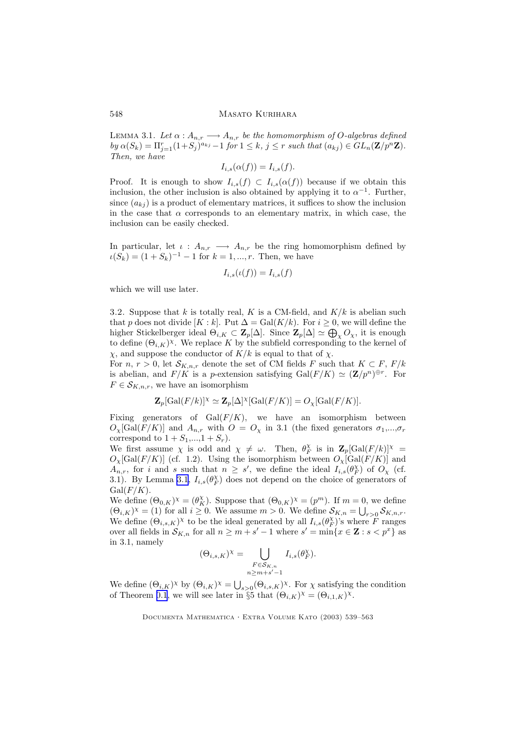LEMMA 3.1. Let  $\alpha: A_{n,r} \longrightarrow A_{n,r}$  be the homomorphism of O-algebras defined by  $\alpha(S_k) = \prod_{j=1}^r (1+S_j)^{a_{kj}} - 1$  for  $1 \leq k, j \leq r$  such that  $(a_{kj}) \in GL_n(\mathbf{Z}/p^n\mathbf{Z})$ . Then, we have

$$
I_{i,s}(\alpha(f)) = I_{i,s}(f).
$$

Proof. It is enough to show  $I_{i,s}(f) \subset I_{i,s}(\alpha(f))$  because if we obtain this inclusion, the other inclusion is also obtained by applying it to  $\alpha^{-1}$ . Further, since  $(a_{ki})$  is a product of elementary matrices, it suffices to show the inclusion in the case that  $\alpha$  corresponds to an elementary matrix, in which case, the inclusion can be easily checked.

In particular, let  $\iota : A_{n,r} \longrightarrow A_{n,r}$  be the ring homomorphism defined by  $\iota(S_k) = (1 + S_k)^{-1} - 1$  for  $k = 1, ..., r$ . Then, we have

$$
I_{i,s}(\iota(f)) = I_{i,s}(f)
$$

which we will use later.

3.2. Suppose that k is totally real, K is a CM-field, and  $K/k$  is abelian such that p does not divide [K : k]. Put  $\Delta = \text{Gal}(K/k)$ . For  $i \geq 0$ , we will define the higher Stickelberger ideal  $\Theta_{i,K} \subset \mathbf{Z}_p[\Delta]$ . Since  $\mathbf{Z}_p[\Delta] \simeq \bigoplus_{\chi} O_{\chi}$ , it is enough to define  $(\Theta_{i,K})^{\chi}$ . We replace K by the subfield corresponding to the kernel of  $\chi$ , and suppose the conductor of  $K/k$  is equal to that of  $\chi$ .

For  $n, r > 0$ , let  $\mathcal{S}_{K,n,r}$  denote the set of CM fields F such that  $K \subset F$ ,  $F/k$ is abelian, and  $F/K$  is a p-extension satisfying  $Gal(F/K) \simeq (\mathbf{Z}/p^n)^{\oplus r}$ . For  $F \in \mathcal{S}_{K,n,r}$ , we have an isomorphism

$$
\mathbf{Z}_p[\mathrm{Gal}(F/k)]^{\chi} \simeq \mathbf{Z}_p[\Delta]^{\chi}[\mathrm{Gal}(F/K)] = O_{\chi}[\mathrm{Gal}(F/K)].
$$

Fixing generators of  $Gal(F/K)$ , we have an isomorphism between  $O_{\chi}[\text{Gal}(F/K)]$  and  $A_{n,r}$  with  $O = O_{\chi}$  in 3.1 (the fixed generators  $\sigma_1,...,\sigma_r$ correspond to  $1 + S_1, \ldots, 1 + S_r$ .

We first assume  $\chi$  is odd and  $\chi \neq \omega$ . Then,  $\theta_F^{\chi}$  is in  $\mathbb{Z}_p[\text{Gal}(F/k)]^{\chi}$  =  $O_{\chi}[\text{Gal}(F/K)]$  (cf. 1.2). Using the isomorphism between  $O_{\chi}[\text{Gal}(F/K)]$  and  $\widehat{A}_{n,r}$ , for i and s such that  $n \geq s'$ , we define the ideal  $\widehat{I_{i,s}(\theta_F^{\chi})}$  of  $O_{\chi}$  (cf. 3.1). By Lemma [3.1](#page-8-0),  $I_{i,s}(\theta_F^{\chi})$  does not depend on the choice of generators of  $Gal(F/K).$ 

We define  $(\Theta_{0,K})^{\chi} = (\theta_K^{\chi})$ . Suppose that  $(\Theta_{0,K})^{\chi} = (p^m)$ . If  $m = 0$ , we define  $(\Theta_{i,K})^{\chi} = (1)$  for all  $i \geq 0$ . We assume  $m > 0$ . We define  $\mathcal{S}_{K,n} = \bigcup_{r>0} \mathcal{S}_{K,n,r}$ . We define  $(\Theta_{i,s,K})^{\chi}$  to be the ideal generated by all  $I_{i,s}(\theta_F^{\chi})$ 's where F ranges over all fields in  $\mathcal{S}_{K,n}$  for all  $n \geq m + s' - 1$  where  $s' = \min\{x \in \mathbf{Z} : s < p^x\}$  as in 3.1, namely

$$
(\Theta_{i,s,K})^{\chi} = \bigcup_{\substack{F \in \mathcal{S}_{K,n} \\ n \ge m+s'-1}} I_{i,s}(\theta_F^{\chi}).
$$

We define  $(\Theta_{i,K})^{\chi}$  by  $(\Theta_{i,K})^{\chi} = \bigcup_{s>0} (\Theta_{i,s,K})^{\chi}$ . For  $\chi$  satisfying the condition of Theorem [0.1](#page-1-0), we will see later in §5 that  $(\Theta_{i,K})^{\chi} = (\Theta_{i,1,K})^{\chi}$ .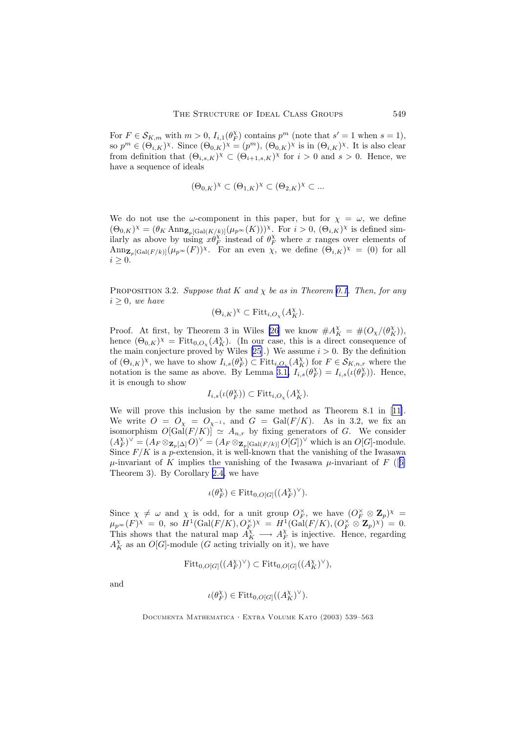<span id="page-10-0"></span>For  $F \in \mathcal{S}_{K,m}$  with  $m > 0$ ,  $I_{i,1}(\theta_F^{\chi})$  contains  $p^m$  (note that  $s' = 1$  when  $s = 1$ ), so  $p^m \in (\Theta_{i,K})^\chi$ . Since  $(\Theta_{0,K})^\chi = (p^m)$ ,  $(\Theta_{0,K})^\chi$  is in  $(\Theta_{i,K})^\chi$ . It is also clear from definition that  $(\Theta_{i,s,K})^{\chi} \subset (\Theta_{i+1,s,K})^{\chi}$  for  $i > 0$  and  $s > 0$ . Hence, we have a sequence of ideals

$$
(\Theta_{0,K})^{\chi} \subset (\Theta_{1,K})^{\chi} \subset (\Theta_{2,K})^{\chi} \subset \dots
$$

We do not use the  $\omega$ -component in this paper, but for  $\chi = \omega$ , we define  $(\Theta_{0,K})^{\chi} = (\theta_K \text{Ann}_{\mathbf{Z}_p[\text{Gal}(K/k)]}(\mu_{p^{\infty}}(K)))^{\chi}$ . For  $i > 0$ ,  $(\Theta_{i,K})^{\chi}$  is defined similarly as above by using  $x\theta_F^{\chi}$  instead of  $\theta_F^{\chi}$  where x ranges over elements of  $\text{Ann}_{\mathbf{Z}_p[\text{Gal}(F/k)]}(\mu_{p^{\infty}}(F))^{\chi}$ . For an even  $\chi$ , we define  $(\Theta_{i,K})^{\chi} = (0)$  for all  $i \geq 0$ .

PROPOSITION 3.2. Suppose that K and  $\chi$  be as in Theorem [0.1.](#page-1-0) Then, for any  $i > 0$ , we have

$$
(\Theta_{i,K})^{\chi} \subset \text{Fitt}_{i,O_{\chi}}(A_K^{\chi}).
$$

Proof. At first, by Theorem 3 in Wiles [\[26](#page-24-0)] we know  $\#A_K^{\chi} = \#(O_{\chi}/(\theta_K^{\chi}))$ , hence  $(\Theta_{0,K})^{\chi} = \text{Fitt}_{0,O_{\chi}}(A_K^{\chi})$ . (In our case, this is a direct consequence of the main conjecture proved by Wiles [\[25](#page-24-0)].) We assume  $i > 0$ . By the definition of  $(\Theta_{i,K})^{\chi}$ , we have to show  $I_{i,s}(\theta_F^{\chi}) \subset \text{Fitt}_{i,O_{\chi}}(A_K^{\chi})$  for  $F \in \mathcal{S}_{K,n,r}$  where the notation is the same as above. By Lemma [3.1,](#page-8-0)  $I_{i,s}(\theta_F^{\chi}) = I_{i,s}(\iota(\theta_F^{\chi}))$ . Hence, it is enough to show

$$
I_{i,s}(\iota(\theta_F^{\chi})) \subset \text{Fitt}_{i,O_{\chi}}(A_K^{\chi}).
$$

We will prove this inclusion by the same method as Theorem 8.1 in [[11\]](#page-24-0). We write  $O = O_{\chi} = O_{\chi^{-1}}$ , and  $G = \text{Gal}(F/K)$ . As in 3.2, we fix an isomorphism  $O[\widehat{Gal}(F/K)] \simeq A_{n,r}$  by fixing generators of G. We consider  $(A_F^{\chi})^{\vee} = (A_F \otimes_{\mathbf{Z}_p[\Delta]} O)^{\vee} = (A_F \otimes_{\mathbf{Z}_p[\text{Gal}(F/k)]} O[G])^{\vee}$  which is an  $O[G]$ -module. Since  $F/K$  is a p-extension, it is well-known that the vanishing of the Iwasawa  $\mu$ -invariant of K implies the vanishing of the Iwasawa  $\mu$ -invariant of F ([[6\]](#page-23-0) Theorem 3). By Corollary [2.4,](#page-8-0) we have

$$
\iota(\theta_F^{\chi}) \in \text{Fitt}_{0,O[G]}((A_F^{\chi})^{\vee}).
$$

Since  $\chi \neq \omega$  and  $\chi$  is odd, for a unit group  $O_F^{\times}$ , we have  $(O_F^{\times} \otimes \mathbb{Z}_p)^{\times}$  $\mu_{p^{\infty}}(F)^{\chi} = 0$ , so  $H^1(\text{Gal}(F/K), O_F^{\times})^{\chi} = H^1(\text{Gal}(F/K), (O_F^{\times} \otimes \mathbf{Z}_p)^{\chi}) = 0$ . This shows that the natural map  $A_K^{\chi} \longrightarrow A_F^{\chi}$  is injective. Hence, regarding  $A_K^{\chi}$  as an  $O[G]$ -module (G acting trivially on it), we have

$$
\mathrm{Fitt}_{0,O[G]}((A_F^{\chi})^{\vee}) \subset \mathrm{Fitt}_{0,O[G]}((A_K^{\chi})^{\vee}),
$$

and

$$
\iota(\theta_K^{\chi}) \in \mathrm{Fitt}_{0,O[G]}((A_K^{\chi})^{\vee}).
$$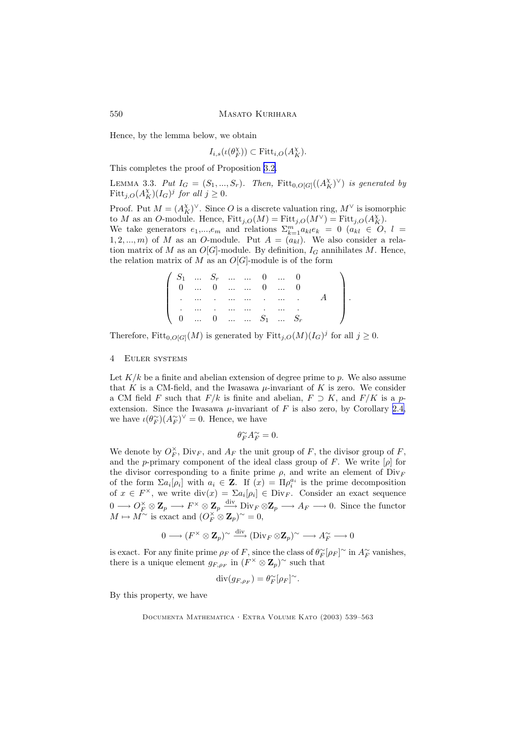Hence, by the lemma below, we obtain

 $I_{i,s}(\iota(\theta_F^{\chi})) \subset \text{Fitt}_{i,O}(A_K^{\chi}).$ 

This completes the proof of Proposition [3.2.](#page-10-0)

LEMMA 3.3. Put  $I_G = (S_1, ..., S_r)$ . Then,  $Fitt_{0,O[G]}((A_K^{\chi})^{\vee})$  is generated by Fitt<sub>j, $O(A_K^{\chi})(I_G)^j$  for all  $j \geq 0$ .</sub>

Proof. Put  $M = (A_K^{\chi})^{\vee}$ . Since O is a discrete valuation ring,  $M^{\vee}$  is isomorphic to M as an O-module. Hence,  $Fitt_{j,O}(M) = Fitt_{j,O}(M^{\vee}) = Fitt_{j,O}(A_K^{\chi}).$ We take generators  $e_1,...,e_m$  and relations  $\sum_{k=1}^m a_{k l}e_k = 0$   $(a_{k l} \in O, l =$ 1, 2, ..., m) of M as an O-module. Put  $A = (a_{kl})$ . We also consider a relation matrix of M as an  $O[G]$ -module. By definition,  $I_G$  annihilates M. Hence, the relation matrix of M as an  $O[G]$ -module is of the form

|  |  |  | $\begin{pmatrix} S_1 & \dots & S_r & \dots & \dots & 0 & \dots & 0 \end{pmatrix}$ |                                                          |  |
|--|--|--|-----------------------------------------------------------------------------------|----------------------------------------------------------|--|
|  |  |  | $\begin{pmatrix} 0 & \dots & 0 & \dots & \dots & 0 & \dots & 0 \end{pmatrix}$     |                                                          |  |
|  |  |  |                                                                                   | the company of the company of the company of the company |  |
|  |  |  | the company of the company of the company of                                      |                                                          |  |
|  |  |  |                                                                                   |                                                          |  |

Therefore,  $Fitt_{0,O[G]}(M)$  is generated by  $Fitt_{j,O}(M)(I_G)^j$  for all  $j \geq 0$ .

#### 4 Euler systems

Let  $K/k$  be a finite and abelian extension of degree prime to p. We also assume that K is a CM-field, and the Iwasawa  $\mu$ -invariant of K is zero. We consider a CM field F such that  $F/k$  is finite and abelian,  $F \supset K$ , and  $F/K$  is a pextension. Since the Iwasawa  $\mu$ -invariant of F is also zero, by Corollary [2.4,](#page-8-0) we have  $\iota(\theta_F^{\sim})(A_F^{\sim})^{\vee} = 0$ . Hence, we have

$$
\theta_F^\sim A_F^\sim=0.
$$

We denote by  $O_F^{\times}$ ,  $\text{Div}_F$ , and  $A_F$  the unit group of F, the divisor group of F, and the p-primary component of the ideal class group of F. We write  $[\rho]$  for the divisor corresponding to a finite prime  $\rho$ , and write an element of Div<sub>F</sub> of the form  $\Sigma a_i[\rho_i]$  with  $a_i \in \mathbb{Z}$ . If  $(x) = \Pi \rho_i^{a_i}$  is the prime decomposition of  $x \in F^{\times}$ , we write  $\text{div}(x) = \sum a_i [\rho_i] \in \text{Div}_F$ . Consider an exact sequence  $0 \longrightarrow O_F^{\times} \otimes \mathbb{Z}_p \longrightarrow F^{\times} \otimes \mathbb{Z}_p \longrightarrow \text{Div}_F \otimes \mathbb{Z}_p \longrightarrow A_F \longrightarrow 0.$  Since the functor  $M \mapsto M^{\sim}$  is exact and  $(O_F^{\times} \otimes \mathbf{Z}_p)^{\sim} = 0$ ,

$$
0 \longrightarrow (F^\times \otimes \mathbf{Z}_p)^\sim \xrightarrow{\mathrm{div}} (\mathrm{Div}_F \otimes \mathbf{Z}_p)^\sim \longrightarrow A_F^\sim \longrightarrow 0
$$

is exact. For any finite prime  $\rho_F$  of F, since the class of  $\theta_F^{\sim}[\rho_F]$ <sup>~</sup> in  $A_F^{\sim}$  vanishes, there is a unique element  $g_{F,\rho_F}$  in  $(F^{\times} \otimes \mathbb{Z}_p)^{\sim}$  such that

$$
\operatorname{div}(g_{F,\rho_F}) = \theta_F^{\sim}[\rho_F]^{\sim}.
$$

By this property, we have

<span id="page-11-0"></span>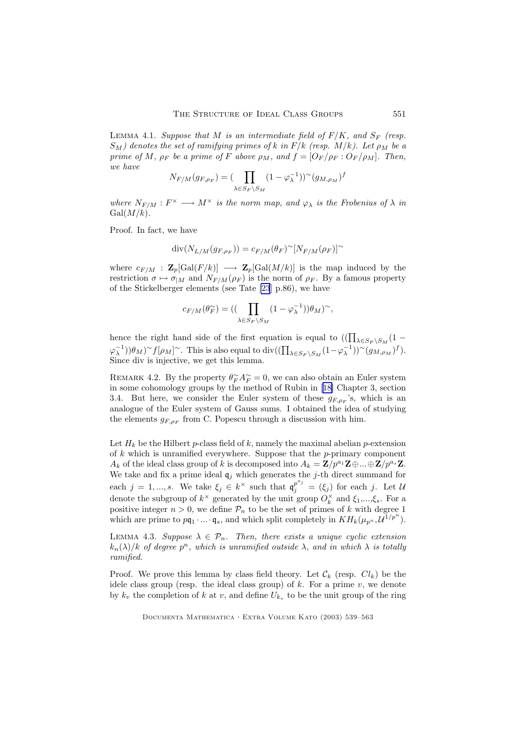LEMMA 4.1. Suppose that M is an intermediate field of  $F/K$ , and  $S_F$  (resp.  $S_M$ ) denotes the set of ramifying primes of k in  $F/k$  (resp.  $M/k$ ). Let  $\rho_M$  be a prime of M,  $\rho_F$  be a prime of F above  $\rho_M$ , and  $f = \left[O_F/\rho_F : O_F/\rho_M\right]$ . Then, we have

$$
N_{F/M}(g_{F,\rho_F}) = \left(\prod_{\lambda \in S_F \backslash S_M} (1 - \varphi_{\lambda}^{-1}))^{\sim} (g_{M,\rho_M})^f\right)
$$

where  $N_{F/M}: F^{\times} \longrightarrow M^{\times}$  is the norm map, and  $\varphi_{\lambda}$  is the Frobenius of  $\lambda$  in  $Gal(M/k).$ 

Proof. In fact, we have

$$
\operatorname{div}(N_{L/M}(g_{F,\rho_F})) = c_{F/M}(\theta_F)^{\sim}[N_{F/M}(\rho_F)]^{\sim}
$$

where  $c_{F/M}$  :  $\mathbf{Z}_p[\text{Gal}(F/k)] \longrightarrow \mathbf{Z}_p[\text{Gal}(M/k)]$  is the map induced by the restriction  $\sigma \mapsto \sigma_{|M}$  and  $N_{F/M}(\rho_F)$  is the norm of  $\rho_F$ . By a famous property of the Stickelberger elements (see Tate [\[23](#page-24-0)] p.86), we have

$$
c_{F/M}(\theta_F^{\sim}) = \left( (\prod_{\lambda \in S_F \backslash S_M} (1 - \varphi_{\lambda}^{-1})) \theta_M \right)^{\sim},
$$

hence the right hand side of the first equation is equal to  $((\prod_{\lambda \in S_F \setminus S_M} (1 (\varphi_{\lambda}^{-1}))\theta_M$ )~ $f[\rho_M]$ ~. This is also equal to div $((\prod_{\lambda \in S_F \setminus S_M} (1-\varphi_{\lambda}^{-1}))^{\sim}(g_{M,\rho_M})^f)$ . Since div is injective, we get this lemma.

REMARK 4.2. By the property  $\theta_F^{\sim} A_F^{\sim} = 0$ , we can also obtain an Euler system in some cohomology groups by the method of Rubin in [[18\]](#page-24-0) Chapter 3, section 3.4. But here, we consider the Euler system of these  $g_{F,\rho_F}$ 's, which is an analogue of the Euler system of Gauss sums. I obtained the idea of studying the elements  $g_{F,\rho_F}$  from C. Popescu through a discussion with him.

Let  $H_k$  be the Hilbert p-class field of k, namely the maximal abelian p-extension of  $k$  which is unramified everywhere. Suppose that the p-primary component  $A_k$  of the ideal class group of k is decomposed into  $A_k = \mathbf{Z}/p^{a_1}\mathbf{Z} \oplus ... \oplus \mathbf{Z}/p^{a_s}\mathbf{Z}$ . We take and fix a prime ideal  $\mathfrak{q}_j$  which generates the *j*-th direct summand for each  $j = 1, ..., s$ . We take  $\xi_j \in k^{\times}$  such that  $\mathfrak{q}_j^{p^{a_j}} = (\xi_j)$  for each j. Let U denote the subgroup of  $k^{\times}$  generated by the unit group  $O_k^{\times}$  and  $\xi_1,...,\xi_s$ . For a positive integer  $n > 0$ , we define  $P_n$  to be the set of primes of k with degree 1 which are prime to  $pq_1 \cdot ... \cdot q_s$ , and which split completely in  $KH_k(\mu_{p^n}, \mathcal{U}^{1/p^n}).$ 

LEMMA 4.3. Suppose  $\lambda \in \mathcal{P}_n$ . Then, there exists a unique cyclic extension  $k_n(\lambda)/k$  of degree  $p^n$ , which is unramified outside  $\lambda$ , and in which  $\lambda$  is totally ramified.

Proof. We prove this lemma by class field theory. Let  $\mathcal{C}_k$  (resp.  $Cl_k$ ) be the idele class group (resp. the ideal class group) of  $k$ . For a prime  $v$ , we denote by  $k_v$  the completion of k at v, and define  $U_{k_v}$  to be the unit group of the ring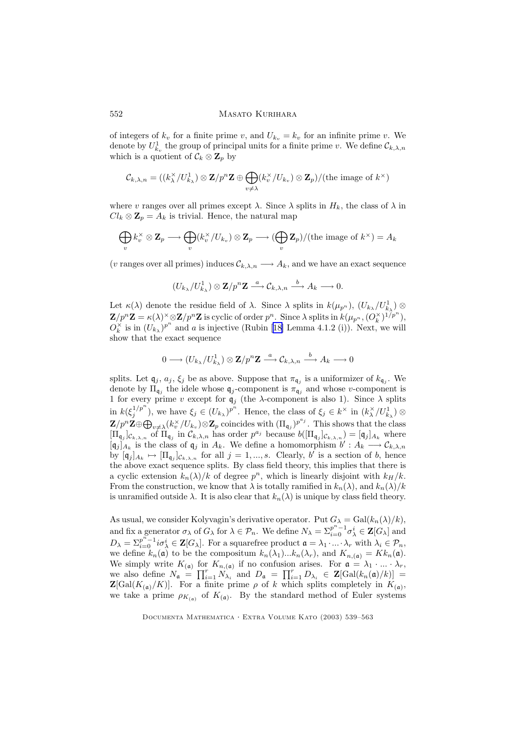of integers of  $k_v$  for a finite prime v, and  $U_{k_v} = k_v$  for an infinite prime v. We denote by  $U_{k_v}^1$  the group of principal units for a finite prime v. We define  $\mathcal{C}_{k,\lambda,n}$ which is a quotient of  $\mathcal{C}_k \otimes \mathbf{Z}_p$  by

$$
\mathcal{C}_{k,\lambda,n} = ((k_{\lambda}^{\times}/U_{k_{\lambda}}^1) \otimes \mathbf{Z}/p^n \mathbf{Z} \oplus \bigoplus_{v \neq \lambda} (k_v^{\times}/U_{k_v}) \otimes \mathbf{Z}_p) / (\text{the image of } k^{\times})
$$

where v ranges over all primes except  $\lambda$ . Since  $\lambda$  splits in  $H_k$ , the class of  $\lambda$  in  $Cl_k \otimes \mathbb{Z}_p = A_k$  is trivial. Hence, the natural map

$$
\bigoplus_v k_v^{\times} \otimes \mathbf{Z}_p \longrightarrow \bigoplus_v (k_v^{\times}/U_{k_v}) \otimes \mathbf{Z}_p \longrightarrow (\bigoplus_v \mathbf{Z}_p)/(\text{the image of } k^{\times}) = A_k
$$

(v ranges over all primes) induces  $\mathcal{C}_{k,\lambda,n} \longrightarrow A_k$ , and we have an exact sequence

$$
(U_{k\lambda}/U^1_{k\lambda})\otimes \mathbf{Z}/p^n\mathbf{Z}\stackrel{a}{\longrightarrow}\mathcal{C}_{k,\lambda,n}\stackrel{b}{\longrightarrow}A_k\longrightarrow 0.
$$

Let  $\kappa(\lambda)$  denote the residue field of  $\lambda$ . Since  $\lambda$  splits in  $k(\mu_{p^n})$ ,  $(U_{k_{\lambda}}/U_{k_{\lambda}}^1)$   $\otimes$  $\mathbf{Z}/p^n\mathbf{Z} = \kappa(\lambda)^{\times} \otimes \mathbf{Z}/p^n\mathbf{Z}$  is cyclic of order  $p^n$ . Since  $\lambda$  splits in  $k(\mu_{p^n}, (O_k^{\times})^{1/p^n})$ ,  $O_{k}^{\times}$  is in  $(U_{k_{\lambda}})^{p^{n}}$  and a is injective (Rubin [[18\]](#page-24-0) Lemma 4.1.2 (i)). Next, we will show that the exact sequence

$$
0 \longrightarrow (U_{k_{\lambda}}/U_{k_{\lambda}}^1) \otimes \mathbf{Z}/p^n\mathbf{Z} \stackrel{a}{\longrightarrow} \mathcal{C}_{k,\lambda,n} \stackrel{b}{\longrightarrow} A_k \longrightarrow 0
$$

splits. Let  $\mathfrak{q}_j$ ,  $a_j$ ,  $\xi_j$  be as above. Suppose that  $\pi_{\mathfrak{q}_j}$  is a uniformizer of  $k_{\mathfrak{q}_j}$ . We denote by  $\Pi_{\mathfrak{q}_j}$  the idele whose  $\mathfrak{q}_j$ -component is  $\pi_{\mathfrak{q}_j}$  and whose v-component is 1 for every prime v except for  $q_j$  (the  $\lambda$ -component is also 1). Since  $\lambda$  splits in  $k(\xi_j^{1/p^n})$ , we have  $\xi_j \in (U_{k_\lambda})^{p^n}$ . Hence, the class of  $\xi_j \in k^\times$  in  $(k_\lambda^\times/U_{k_\lambda}^1) \otimes$  $\mathbf{Z}/p^n\mathbf{Z}\oplus \bigoplus_{v\neq \lambda} (k_v^\times/U_{k_v})\otimes \mathbf{Z}_p$  coincides with  $(\Pi_{\mathfrak{q}_j})^{p^{a_j}}$ . This shows that the class  $[\Pi_{\mathfrak{q}_j}]_{\mathcal{C}_{k,\lambda,n}}$  of  $\Pi_{\mathfrak{q}_j}$  in  $\mathcal{C}_{k,\lambda,n}$  has order  $p^{a_j}$  because  $b([\Pi_{\mathfrak{q}_j}]_{\mathcal{C}_{k,\lambda,n}}) = [\mathfrak{q}_j]_{A_k}$  where  $[q_j]_{A_k}$  is the class of  $q_j$  in  $A_k$ . We define a homomorphism  $b' : A_k \longrightarrow C_{k,\lambda,n}$ by  $[\mathfrak{q}_j]_{A_k} \mapsto [\Pi_{\mathfrak{q}_j}]_{\mathcal{C}_{k,\lambda,n}}$  for all  $j = 1,...,s$ . Clearly, b' is a section of b, hence the above exact sequence splits. By class field theory, this implies that there is a cyclic extension  $k_n(\lambda)/k$  of degree  $p^n$ , which is linearly disjoint with  $k_H/k$ . From the construction, we know that  $\lambda$  is totally ramified in  $k_n(\lambda)$ , and  $k_n(\lambda)/k$ is unramified outside  $\lambda$ . It is also clear that  $k_n(\lambda)$  is unique by class field theory.

As usual, we consider Kolyvagin's derivative operator. Put  $G_{\lambda} = \text{Gal}(k_n(\lambda)/k)$ , and fix a generator  $\sigma_\lambda$  of  $G_\lambda$  for  $\lambda \in \mathcal{P}_n$ . We define  $N_\lambda = \sum_{i=0}^{p^n-1} \sigma_\lambda^i \in \mathbf{Z}[G_\lambda]$  and  $D_{\lambda} = \sum_{i=0}^{p^n-1} i \sigma_{\lambda}^i \in \mathbf{Z}[G_{\lambda}]$ . For a squarefree product  $\mathfrak{a} = \lambda_1 \cdot ... \cdot \lambda_r$  with  $\lambda_i \in \mathcal{P}_n$ , we define  $k_n(\mathfrak{a})$  to be the compositum  $k_n(\lambda_1)...k_n(\lambda_r)$ , and  $K_{n,(\mathfrak{a})} = Kk_n(\mathfrak{a})$ . We simply write  $K_{(\mathfrak{a})}$  for  $K_{n,(\mathfrak{a})}$  if no confusion arises. For  $\mathfrak{a} = \lambda_1 \cdot ... \cdot \lambda_r$ , we also define  $N_{\mathfrak{a}} = \prod_{i=1}^r N_{\lambda_i}$  and  $D_{\mathfrak{a}} = \prod_{i=1}^r D_{\lambda_i} \in \mathbf{Z}[\text{Gal}(k_n(\mathfrak{a})/k)] =$  $\mathbf{Z}[\text{Gal}(K_{(\mathfrak{a})}/K)]$ . For a finite prime  $\rho$  of k which splits completely in  $K_{(\mathfrak{a})}$ , we take a prime  $\rho_{K_{(a)}}$  of  $K_{(a)}$ . By the standard method of Euler systems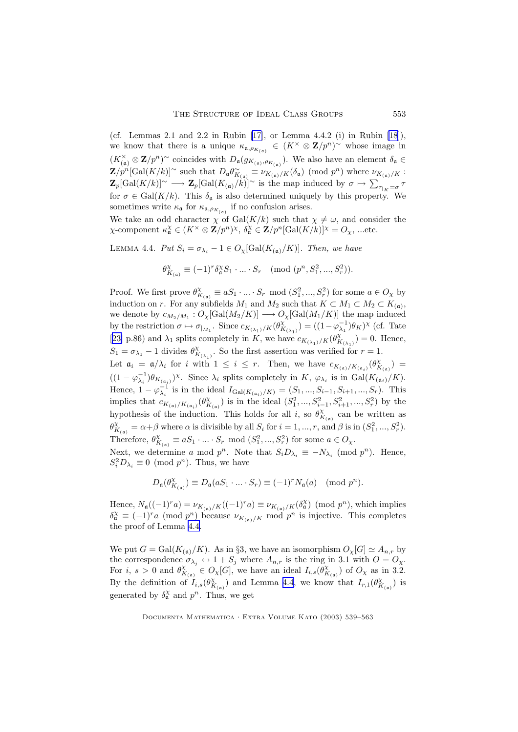<span id="page-14-0"></span>(cf. Lemmas 2.1 and 2.2 in Rubin [\[17](#page-24-0)], or Lemma 4.4.2 (i) in Rubin [[18\]](#page-24-0)), we know that there is a unique  $\kappa_{\mathfrak{a},\rho_{K_{(\mathfrak{a})}}}\in (K^{\times}\otimes \mathbf{Z}/p^{n})^{\sim}$  whose image in  $(K_{(a)}^{\times} \otimes \mathbf{Z}/p^n)$ <sup>~</sup> coincides with  $D_{\mathfrak{a}}(g_{K_{(a)}, \rho_{K_{(a)}}})$ . We also have an element  $\delta_{\mathfrak{a}} \in$  $\mathbf{Z}/p^n[\text{Gal}(K/k)]^{\sim}$  such that  $D_{\mathfrak{a}}\theta_{K_{(\mathfrak{a})}}^{\sim} \equiv \nu_{K_{(\mathfrak{a})}/K}(\delta_{\mathfrak{a}}) \pmod{p^n}$  where  $\nu_{K_{(\mathfrak{a})}/K}$ :  $\mathbf{Z}_p[\text{Gal}(K/k)]^{\sim} \longrightarrow \mathbf{Z}_p[\text{Gal}(K_{(\mathfrak{a})}/k)]^{\sim}$  is the map induced by  $\sigma \mapsto \sum_{\tau|_K = \sigma} \tau$ for  $\sigma \in \text{Gal}(K/k)$ . This  $\delta_{\mathfrak{a}}$  is also determined uniquely by this property. We sometimes write  $\kappa_{\mathfrak{a}}$  for  $\kappa_{\mathfrak{a},\rho_{K_{(\mathfrak{a})}}}$  if no confusion arises.

We take an odd character  $\chi$  of  $Gal(K/k)$  such that  $\chi \neq \omega$ , and consider the  $\chi$ -component  $\kappa_{\mathfrak{a}}^{\chi} \in (K^{\times} \otimes \mathbb{Z}/p^n)^{\chi}, \ \delta_{\mathfrak{a}}^{\chi} \in \mathbb{Z}/p^n[\text{Gal}(K/k)]^{\chi} = O_{\chi}, \text{ ...etc.}$ 

LEMMA 4.4. Put  $S_i = \sigma_{\lambda_i} - 1 \in O_{\chi}[\text{Gal}(K_{(\mathfrak{a})}/K)]$ . Then, we have

$$
\theta_{K_{(a)}}^{\chi} \equiv (-1)^r \delta_a^{\chi} S_1 \cdot \ldots \cdot S_r \pmod{(p^n, S_1^2, ..., S_r^2)}.
$$

Proof. We first prove  $\theta_{K_{(a)}}^{\chi} \equiv aS_1 \cdot ... \cdot S_r \mod (S_1^2, ..., S_r^2)$  for some  $a \in O_{\chi}$  by induction on r. For any subfields  $M_1$  and  $M_2$  such that  $K \subset M_1 \subset M_2 \subset K_{(\mathfrak{a})}$ , we denote by  $c_{M_2/M_1}:O_\chi[\text{Gal}(M_2/K)]\longrightarrow O_\chi[\text{Gal}(M_1/K)]$  the map induced by the restriction  $\sigma \mapsto \sigma_{|_{M_1}}$ . Since  $c_{K_{(\lambda_1)}/K}(\theta^{\chi}_{K_{(\lambda_1)}}) = ((1-\varphi_{\lambda_1}^{-1})\theta_K)^{\chi}$  (cf. Tate [[23\]](#page-24-0) p.86) and  $\lambda_1$  splits completely in K, we have  $c_{K_{(\lambda_1)}/K}(\theta^{\chi}_{K_{(\lambda_1)}})=0$ . Hence,  $S_1 = \sigma_{\lambda_1} - 1$  divides  $\theta_{K_{(\lambda_1)}}^{\chi}$ . So the first assertion was verified for  $r = 1$ . Let  $\mathfrak{a}_i = \mathfrak{a}/\lambda_i$  for i with  $1 \leq i \leq r$ . Then, we have  $c_{K(\mathfrak{a})/K(\mathfrak{a}_i)}(\theta_{K(\mathfrak{a})}^{\chi}) =$ 

 $((1 - \varphi_{\lambda_i}^{-1})\theta_{K_{(\mathfrak{a}_i)}})^\chi$ . Since  $\lambda_i$  splits completely in  $K$ ,  $\varphi_{\lambda_i}$  is in  $Gal(K_{(\mathfrak{a}_i)}/K)$ . Hence,  $1 - \varphi_{\lambda_i}^{-1}$  is in the ideal  $I_{Gal(K_{(a_i)}/K)} = (S_1, ..., S_{i-1}, S_{i+1}, ..., S_r)$ . This implies that  $c_{K_{(a)}/K_{(a_i)}}(\theta_{K_{(a)}}^{\chi})$  is in the ideal  $(S_1^2, ..., S_{i-1}^2, S_{i+1}^2, ..., S_r^2)$  by the hypothesis of the induction. This holds for all i, so  $\theta_{K_{(a)}}^{\chi}$  can be written as  $\theta_{K_{(a)}}^{\chi} = \alpha + \beta$  where  $\alpha$  is divisible by all  $S_i$  for  $i = 1, ..., r$ , and  $\beta$  is in  $(S_1^2, ..., S_r^2)$ . Therefore,  $\theta_{K_{(a)}}^{\chi} \equiv aS_1 \cdot ... \cdot S_r \mod (S_1^2, ..., S_r^2)$  for some  $a \in O_{\chi}$ .

Next, we determine a mod  $p^n$ . Note that  $S_i D_{\lambda_i} \equiv -N_{\lambda_i} \pmod{p^n}$ . Hence,  $S_i^2 D_{\lambda_i} \equiv 0 \pmod{p^n}$ . Thus, we have

$$
D_{\mathfrak{a}}(\theta_{K_{(\mathfrak{a})}}^{\chi}) \equiv D_{\mathfrak{a}}(aS_1 \cdot \ldots \cdot S_r) \equiv (-1)^r N_{\mathfrak{a}}(a) \pmod{p^n}.
$$

Hence,  $N_a((-1)^{r}a) = \nu_{K_{(a)}/K}((-1)^{r}a) \equiv \nu_{K_{(a)}/K}(\delta_a^{\chi}) \pmod{p^n}$ , which implies  $\delta_{\mathfrak{a}}^{\chi} \equiv (-1)^{r} a \pmod{p^{n}}$  because  $\nu_{K_{(\mathfrak{a})}/K}$  mod  $p^{n}$  is injective. This completes the proof of Lemma 4.4.

We put  $G = \text{Gal}(K_{\mathfrak{a}})/K)$ . As in §3, we have an isomorphism  $O_{\chi}[G] \simeq A_{n,r}$  by the correspondence  $\sigma_{\lambda_j} \leftrightarrow 1 + S_j$  where  $A_{n,r}$  is the ring in 3.1 with  $O = O_{\chi}$ . For i,  $s > 0$  and  $\theta_{K_{(a)}}^{\chi} \in O_{\chi}[G]$ , we have an ideal  $I_{i,s}(\theta_{K_{(a)}}^{\chi})$  of  $O_{\chi}$  as in 3.2. By the definition of  $I_{i,s}(\theta_{K_{(a)}}^{\chi})$  and Lemma 4.4, we know that  $I_{r,1}(\theta_{K_{(a)}}^{\chi})$  is generated by  $\delta_{\mathfrak{a}}^{\chi}$  and  $p^{n}$ . Thus, we get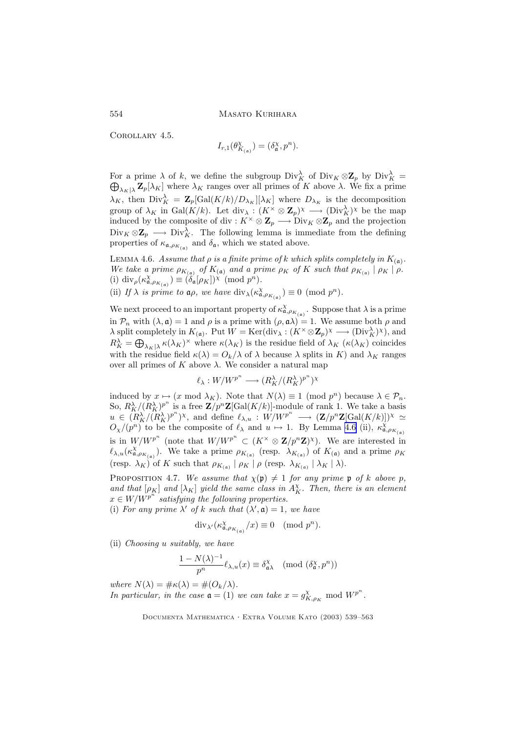Corollary 4.5.

$$
I_{r,1}(\theta_{K_{(\mathfrak{a})}}^{\chi}) = (\delta_{\mathfrak{a}}^{\chi}, p^n).
$$

For a prime  $\lambda$  of k, we define the subgroup  $Div_K^{\lambda}$  of  $Div_K \otimes \mathbb{Z}_p$  by  $Div_K^{\lambda} =$  $\bigoplus_{\lambda_K|\lambda} \mathbf{Z}_p[\lambda_K]$  where  $\lambda_K$  ranges over all primes of K above  $\lambda$ . We fix a prime  $\lambda_K$ , then  $Div_K^{\lambda} = \mathbf{Z}_p[\text{Gal}(K/k)/D_{\lambda_K}][\lambda_K]$  where  $D_{\lambda_K}$  is the decomposition group of  $\lambda_K$  in  $Gal(K/k)$ . Let  $div_\lambda : (K^\times \otimes \mathbb{Z}_p)^\times \longrightarrow (Div_K^{\lambda})^\times$  be the map induced by the composite of div :  $K^{\times} \otimes \mathbb{Z}_p \longrightarrow \text{Div}_K \otimes \mathbb{Z}_p$  and the projection  $Div_K \otimes \mathbb{Z}_p \longrightarrow Div_K^{\lambda}$ . The following lemma is immediate from the defining properties of  $\kappa_{\mathfrak{a},\rho_{K_{(\mathfrak{a})}}}$  and  $\delta_{\mathfrak{a}}$ , which we stated above.

LEMMA 4.6. Assume that  $\rho$  is a finite prime of  $k$  which splits completely in  $K_{(\mathfrak{a})}$ . We take a prime  $\rho_{K_{(a)}}$  of  $K_{(a)}$  and a prime  $\rho_K$  of K such that  $\rho_{K_{(a)}} \mid \rho_K \mid \rho$ . (i) div<sub> $\rho$ </sub> $(\kappa_{\mathfrak{a},\rho_{K_{(\mathfrak{a})}}}^{\chi}) \equiv (\delta_{\mathfrak{a}}[\rho_K])^{\chi} \pmod{p^n}.$ 

(ii) If  $\lambda$  is prime to  $\mathfrak{a}\rho$ , we have  $\text{div}_{\lambda}(\kappa_{\mathfrak{a},\rho_{K_{(\mathfrak{a})}}}) \equiv 0 \pmod{p^n}$ .

We next proceed to an important property of  $\kappa_{\mathfrak{a},\rho_{K_{(\mathfrak{a})}}}^{\chi}$ . Suppose that  $\lambda$  is a prime in  $\mathcal{P}_n$  with  $(\lambda, \mathfrak{a}) = 1$  and  $\rho$  is a prime with  $(\rho, \mathfrak{a}) = 1$ . We assume both  $\rho$  and  $\lambda$  split completely in  $K_{(\mathfrak{a})}$ . Put  $W = \text{Ker}(\text{div}_{\lambda} : (K^{\times} \otimes \mathbb{Z}_p)^{\chi} \longrightarrow (\text{Div}_{K}^{\lambda})^{\chi})$ , and  $R_K^{\lambda} = \bigoplus_{\lambda_K|\lambda} \kappa(\lambda_K)^{\times}$  where  $\kappa(\lambda_K)$  is the residue field of  $\lambda_K$  ( $\kappa(\lambda_K)$ ) coincides with the residue field  $\kappa(\lambda) = O_k/\lambda$  of  $\lambda$  because  $\lambda$  splits in K) and  $\lambda_K$  ranges over all primes of  $K$  above  $\lambda$ . We consider a natural map

$$
\ell_\lambda: W/W^{p^n} \longrightarrow (R_K^\lambda/(R_K^\lambda)^{p^n})^\chi
$$

induced by  $x \mapsto (x \mod \lambda_K)$ . Note that  $N(\lambda) \equiv 1 \pmod{p^n}$  because  $\lambda \in \mathcal{P}_n$ . So,  $R_K^{\lambda}/(R_K^{\lambda})^{p^n}$  is a free  $\mathbf{Z}/p^n\mathbf{Z}[\text{Gal}(K/k)]$ -module of rank 1. We take a basis  $u \in (R_K^{\lambda}/(R_K^{\lambda})^{p^n})^{\chi}$ , and define  $\ell_{\lambda,u} : W/W^{p^n} \longrightarrow (\mathbf{Z}/p^n\mathbf{Z}[\mathrm{Gal}(K/k)])^{\chi} \simeq$  $O_\chi/(p^n)$  to be the composite of  $\ell_\lambda$  and  $u \mapsto 1$ . By Lemma 4.6 (ii),  $\kappa^{\chi}_{\mathfrak{a},\rho_{K_{(\mathfrak{a})}}}$ is in  $W/W^{p^n}$  (note that  $W/W^{p^n} \subset (K^\times \otimes \mathbf{Z}/p^n\mathbf{Z})^\chi$ ). We are interested in  $\ell_{\lambda,u}(\kappa^{\chi}_{\mathfrak{a},\rho_{K_{(\mathfrak{a})}}})$ . We take a prime  $\rho_{K_{(\mathfrak{a})}}$  (resp.  $\lambda_{K_{(\mathfrak{a})}}$ ) of  $K_{(\mathfrak{a})}$  and a prime  $\rho_K$ (resp.  $\lambda_K$ ) of K such that  $\rho_{K_{(a)}} \mid \rho_K \mid \rho$  (resp.  $\lambda_{K_{(a)}} \mid \lambda_K \mid \lambda$ ).

PROPOSITION 4.7. We assume that  $\chi(\mathfrak{p})\neq 1$  for any prime  $\mathfrak{p}$  of k above p, and that  $[\rho_K]$  and  $[\lambda_K]$  yield the same class in  $A_K^{\chi}$ . Then, there is an element  $x \in W/W^{p^n}$  satisfying the following properties.

(i) For any prime  $\lambda'$  of k such that  $(\lambda', \mathfrak{a}) = 1$ , we have

$$
\operatorname{div}_{\lambda'}(\kappa^{\chi}_{\mathfrak{a}, \rho_{K_{(\mathfrak{a})}}}/x) \equiv 0 \pmod{p^n}.
$$

(ii) Choosing u suitably, we have

$$
\frac{1 - N(\lambda)^{-1}}{p^n} \ell_{\lambda, u}(x) \equiv \delta_{\mathfrak{a}\lambda}^{\chi} \pmod{(\delta_{\mathfrak{a}}^{\chi}, p^n)}
$$

where  $N(\lambda) = \# \kappa(\lambda) = \# (O_k/\lambda)$ . In particular, in the case  $\mathfrak{a} = (1)$  we can take  $x = g_{K,\rho_K}^{\chi} \mod W^{p^n}$ .

<span id="page-15-0"></span>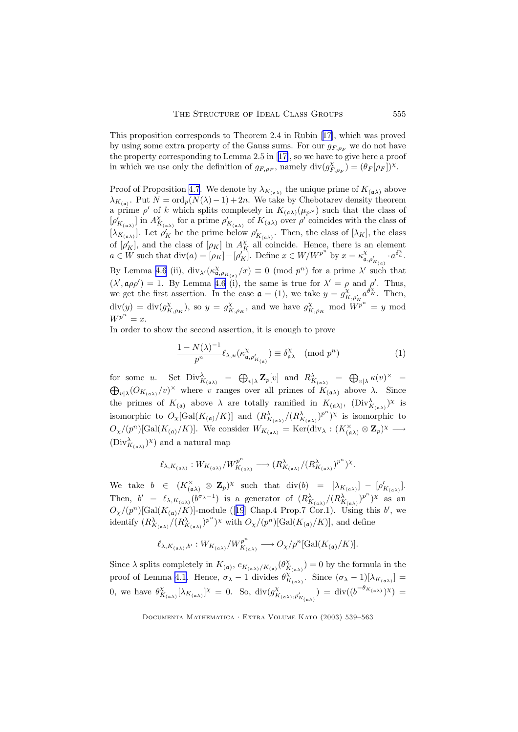<span id="page-16-0"></span>This proposition corresponds to Theorem 2.4 in Rubin [[17\]](#page-24-0), which was proved by using some extra property of the Gauss sums. For our  $g_{F,\rho_F}$  we do not have the property corresponding to Lemma 2.5 in [[17\]](#page-24-0), so we have to give here a proof in which we use only the definition of  $g_{F,\rho_F}$ , namely  $\text{div}(g_{F,\rho_F}^{\chi}) = (\theta_F[\rho_F])^{\chi}$ .

Proof of Proposition [4.7](#page-15-0). We denote by  $\lambda_{K_{(\mathfrak{a}\lambda)}}$  the unique prime of  $K_{(\mathfrak{a}\lambda)}$  above  $\lambda_{K_{(a)}}$ . Put  $N = \text{ord}_p(N(\lambda) - 1) + 2n$ . We take by Chebotarev density theorem a prime  $\rho'$  of k which splits completely in  $K_{(\mathfrak{a}\lambda)}(\mu_{p^N})$  such that the class of  $[\rho'_{K_{(\mathfrak{a}\lambda)}}]$  in  $A_{K_{(\mathfrak{a}\lambda)}}^{\chi}$  for a prime  $\rho'_{K_{(\mathfrak{a}\lambda)}}$  of  $K_{(\mathfrak{a}\lambda)}$  over  $\rho'$  coincides with the class of  $[\lambda_{K_{(\mathfrak{a}\lambda)}}]$ . Let  $\rho'_{K}$  be the prime below  $\rho'_{K_{(\mathfrak{a}\lambda)}}$ . Then, the class of  $[\lambda_{K}]$ , the class of  $[\rho_K']$ , and the class of  $[\rho_K]$  in  $A_K^{\chi}$  all coincide. Hence, there is an element  $a \in W$  such that  $\text{div}(a) = [\rho_K] - [\rho_K']$ . Define  $x \in W/W^{p^m}$  by  $x = \kappa_{a,\rho'_{K_{(a)}}}'^{\chi} \cdot a^{\delta_{\alpha}^{\chi}}$ . By Lemma [4.6](#page-15-0) (ii),  $\text{div}_{\lambda}(\kappa^{\chi}_{\mathfrak{a},\rho_{K_{(\mathfrak{a})}}}/x) \equiv 0 \pmod{p^n}$  for a prime  $\lambda'$  such that  $(\lambda', \mathfrak{a}\rho\rho') = 1$ . By Lemma [4.6](#page-15-0) (i), the same is true for  $\lambda' = \rho$  and  $\rho'$ . Thus, we get the first assertion. In the case  $\mathfrak{a} = (1)$ , we take  $y = g_{K,\rho'_{K}}^{\chi} a^{\theta_{K}^{\chi}}$ . Then,  $\text{div}(y) = \text{div}(g_{K,\rho_K}^{\chi}),$  so  $y = g_{K,\rho_K}^{\chi}$ , and we have  $g_{K,\rho_K}^{\chi}$  mod  $\overline{W}^{p^n} = y$  mod  $W^{p^n} = x.$ 

In order to show the second assertion, it is enough to prove

$$
\frac{1 - N(\lambda)^{-1}}{p^n} \ell_{\lambda, u}(\kappa_{\mathfrak{a}, \rho'_{K_{(\mathfrak{a})}}}) \equiv \delta_{\mathfrak{a}\lambda}^{\chi} \pmod{p^n}
$$
 (1)

for some u. Set  $Div_{K_{(a\lambda)}}^{\lambda} = \bigoplus_{v|\lambda} \mathbf{Z}_p[v]$  and  $R_{K_{(a\lambda)}}^{\lambda} = \bigoplus_{v|\lambda} \kappa(v)^{\times} =$  $\bigoplus_{v\mid\lambda} (O_{K_{(\mathfrak{a}\lambda)}}/v)^\times$  where v ranges over all primes of  $K_{(\mathfrak{a}\lambda)}$  above  $\lambda$ . Since the primes of  $K_{(\mathfrak{a})}$  above  $\lambda$  are totally ramified in  $K_{(\mathfrak{a}\lambda)},$   $(\text{Div}_{K_{(\mathfrak{a}\lambda)}}^{\lambda})^{\chi}$  is isomorphic to  $O_\chi[\text{Gal}(K_{(\mathfrak{a})}/K)]$  and  $(R_{K_{(\mathfrak{a}\lambda)}}^{\lambda}/(R_{K_{(\mathfrak{a}\lambda)}}^{\lambda})^{p^n})^{\chi}$  is isomorphic to  $O_\chi/(p^n)[\text{Gal}(K_{(\mathfrak{a})}/K)]$ . We consider  $W_{K_{(\mathfrak{a}\lambda)}} = \text{Ker}(\text{div}_\lambda : (K_{(\mathfrak{a}\lambda)}^\times \otimes \mathbf{Z}_p)^\times \longrightarrow$  $(\text{Div}_{K_{(\mathfrak{a}\lambda)}}^{\lambda})^{\chi})$  and a natural map

$$
\ell_{\lambda,K_{(\mathfrak{a}\lambda)}}: W_{K_{(\mathfrak{a}\lambda)}}/W_{K_{(\mathfrak{a}\lambda)}}^{p^n} \longrightarrow (R_{K_{(\mathfrak{a}\lambda)}}^\lambda/(R_{K_{(\mathfrak{a}\lambda)}}^\lambda)^{p^n})^\chi.
$$

We take  $b \in (K_{(a\lambda)}^{\times} \otimes \mathbf{Z}_p)^{\chi}$  such that  $\text{div}(b) = [\lambda_{K_{(a\lambda)}}] - [\rho'_{K_{(a\lambda)}}].$ Then,  $b' = \ell_{\lambda, K_{(\mathfrak{a}\lambda)}}(b^{\sigma_{\lambda}-1})$  is a generator of  $(R^{\lambda}_{K_{(\mathfrak{a}\lambda)}}/(R^{\lambda}_{K_{(\mathfrak{a}\lambda)}})^{p^n})^{\chi}$  as an  $O_{\chi}/(p^n)[\text{Gal}(K_{(\mathfrak{a})}/K)]$ -module ([[19](#page-24-0)] Chap.4 Prop.7 Cor.1). Using this b', we identify  $(R^{\lambda}_{K_{(\mathfrak{a}\lambda)}}/(R^{\lambda}_{K_{(\mathfrak{a}\lambda)}})^{p^n})^{\chi}$  with  $O_{\chi}/(p^n)[\text{Gal}(K_{(\mathfrak{a})}/K)]$ , and define

$$
\ell_{\lambda,K_{(\mathfrak{a}\lambda)},b'}: W_{K_{(\mathfrak{a}\lambda)}}/W_{K_{(\mathfrak{a}\lambda)}}^{p^n} \longrightarrow O_{\chi}/p^n[\mathrm{Gal}(K_{(\mathfrak{a})}/K)].
$$

Since  $\lambda$  splits completely in  $K_{(\mathfrak{a})}, c_{K_{(\mathfrak{a}\lambda)}/K_{(\mathfrak{a})}}(\theta^{\chi}_{K_{(\mathfrak{a}\lambda)}})=0$  by the formula in the proof of Lemma [4.1.](#page-11-0) Hence,  $\sigma_{\lambda} - 1$  divides  $\theta_{K_{(\mathfrak{a}\lambda)}}^{\chi^{(2)}},$  Since  $(\sigma_{\lambda} - 1)[\lambda_{K_{(\mathfrak{a}\lambda)}}] =$ 0, we have  $\theta_{K_{(\mathfrak{a}\lambda)}}^{\chi}[\lambda_{K_{(\mathfrak{a}\lambda)}}]^{\chi} = 0$ . So,  $\text{div}(g_{K_{(\mathfrak{a}\lambda)},\rho'_{K_{(\mathfrak{a}\lambda)}}}^{\chi}) = \text{div}((b^{-\theta_{K_{(\mathfrak{a}\lambda)}}})^{\chi}) =$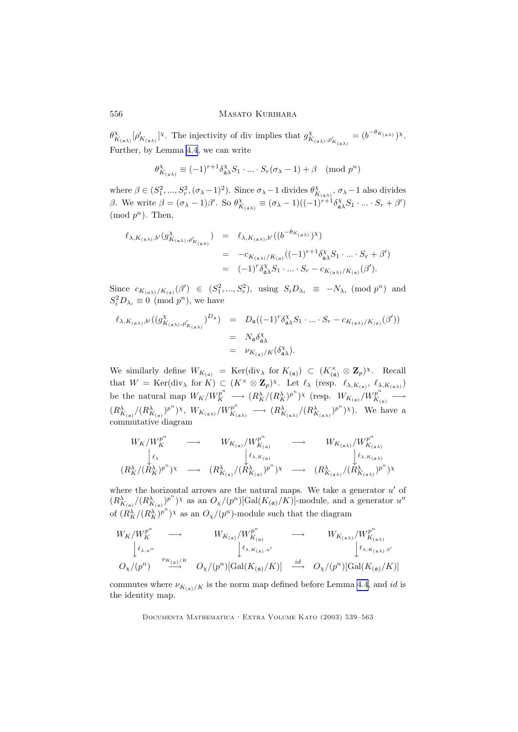# 556 MASATO KURIHARA

 $\theta_{K_{(\mathfrak{a}\lambda)}}^{\chi}[\rho'_{K_{(\mathfrak{a}\lambda)}}]^{\chi}$ . The injectivity of div implies that  $g_{K_{(\mathfrak{a}\lambda)},\rho'_{K_{(\mathfrak{a}\lambda)}}}^{\chi}=(b^{-\theta_{K_{(\mathfrak{a}\lambda)}}})^{\chi}$ . Further, by Lemma [4.4](#page-14-0), we can write

$$
\theta_{K_{(\mathfrak{a}\lambda)}}^{\chi} \equiv (-1)^{r+1} \delta_{\mathfrak{a}\lambda}^{\chi} S_1 \cdot \ldots \cdot S_r(\sigma_{\lambda} - 1) + \beta \pmod{p^n}
$$

where  $\beta \in (S_1^2, ..., S_r^2, (\sigma_\lambda - 1)^2)$ . Since  $\sigma_\lambda - 1$  divides  $\theta_{K_{(\mathfrak{a}\lambda)}}^{\chi}, \sigma_\lambda - 1$  also divides β. We write  $\beta = (\sigma_\lambda - 1)\beta'$ . So  $\theta^{\chi}_{K_{(\mathfrak{a}\lambda)}} \equiv (\sigma_\lambda - 1)((-1)^{r+1}\delta^{\chi}_{\mathfrak{a}\lambda}S_1 \cdot ... \cdot S_r + \beta')$  $\pmod{p^n}$ . Then,

$$
\ell_{\lambda, K_{(\mathfrak{a}\lambda)}, b'}(g_{K_{(\mathfrak{a}\lambda)}, \rho'_{K_{(\mathfrak{a}\lambda)}}}'^{x}) = \ell_{\lambda, K_{(\mathfrak{a}\lambda)}, b'}((b^{-\theta_{K_{(\mathfrak{a}\lambda)}}})^{x})
$$
  
=  $-c_{K_{(\mathfrak{a}\lambda)}/K_{(\mathfrak{a})}}((-1)^{r+1}\delta_{\mathfrak{a}\lambda}^{x}S_{1} \cdot ... \cdot S_{r} + \beta')$   
=  $(-1)^{r} \delta_{\mathfrak{a}\lambda}^{x}S_{1} \cdot ... \cdot S_{r} - c_{K_{(\mathfrak{a}\lambda)}/K_{(\mathfrak{a})}}(\beta').$ 

Since  $c_{K_{(\mathfrak{a}\lambda)}/K_{(\mathfrak{a})}}(\beta') \in (S_1^2, ..., S_r^2)$ , using  $S_i D_{\lambda_i} \equiv -N_{\lambda_i} \pmod{p^n}$  and  $S_i^2 D_{\lambda_i} \equiv 0 \pmod{p^n}$ , we have

$$
\ell_{\lambda, K_{(\mathfrak{a}\lambda)}, b'}((g_{K_{(\mathfrak{a}\lambda)}, \rho'_{K_{(\mathfrak{a}\lambda)}}}')^{D_{\mathfrak{a}}}) = D_{\mathfrak{a}}((-1)^{r} \delta_{\mathfrak{a}\lambda}^{X} S_{1} \cdot \ldots \cdot S_{r} - c_{K_{(\mathfrak{a}\lambda)}/K_{(\mathfrak{a})}}(\beta'))
$$
  
=  $N_{\mathfrak{a}} \delta_{\mathfrak{a}\lambda}^{X}$   
=  $\nu_{K_{(\mathfrak{a})}/K}(\delta_{\mathfrak{a}\lambda}^{X}).$ 

We similarly define  $W_{K_{(\mathfrak{a})}} = \text{Ker}(\text{div}_{\lambda} \text{ for } K_{(\mathfrak{a})}) \subset (K_{(\mathfrak{a})}^{\times} \otimes \mathbf{Z}_p)^{\chi}$ . Recall that  $W = \text{Ker}(\text{div}_{\lambda} \text{ for } K) \subset (K^{\times} \otimes \mathbb{Z}_p)^{\chi}$ . Let  $\ell_{\lambda}$  (resp.  $\ell_{\lambda, K_{(\mathfrak{a})}}, \ell_{\lambda, K_{(\mathfrak{a}\lambda)}}$ ) be the natural map  $W_K/W_K^{p^n} \longrightarrow (R_K^{\lambda}/(R_K^{\lambda})^{p^n})^{\chi}$  (resp.  $W_{K_{(a)}}/W_{K_{(a)}}^{p^n}$  $E_{K_{(\mathfrak{a})}}^p \longrightarrow$  $(R^{\lambda}_{K_{(\mathfrak{a})}}/(R^{\lambda}_{K_{(\mathfrak{a})}})^{p^n})^{\chi}, W_{K_{(\mathfrak{a}\lambda)}}/W_{K_{(\mathfrak{a})}}^{p^n}$  $K_{K_{(\mathfrak{a}\lambda)}}^p \longrightarrow (R_{K_{(\mathfrak{a}\lambda)}}^{\lambda}/(R_{K_{(\mathfrak{a}\lambda)}}^{\lambda})^{p^n})^{\chi}$ ). We have a commutative diagram

$$
W_K/W_K^{p^n} \longrightarrow W_{K_{(\mathfrak{a})}}/W_{K_{(\mathfrak{a})}}^{p^n} \longrightarrow W_{K_{(\mathfrak{a}\lambda)}}/W_{K_{(\mathfrak{a}\lambda)}}^{p^n}
$$
  
\n
$$
\downarrow_{\ell_\lambda} \qquad \qquad \downarrow_{\ell_{\lambda,K_{(\mathfrak{a})}}} \qquad \qquad W_{K_{(\mathfrak{a}\lambda)}}/W_{K_{(\mathfrak{a}\lambda)}}^{p^n}
$$
  
\n
$$
(R_K^{\lambda}/(R_K^{\lambda})^{p^n})^{\chi} \longrightarrow (R_{K_{(\mathfrak{a})}}^{\lambda}/(R_{K_{(\mathfrak{a})}}^{\lambda})^{p^n})^{\chi}
$$
  
\n
$$
(R_K^{\lambda}/(R_K^{\lambda})^{p^n})^{\chi} \longrightarrow (R_{K_{(\mathfrak{a}\lambda)}}^{\lambda}/(R_{K_{(\mathfrak{a}\lambda)}}^{\lambda})^{p^n})^{\chi}
$$

where the horizontal arrows are the natural maps. We take a generator  $u'$  of  $(R_{K_{(a)}}^{\lambda}/(R_{K_{(a)}}^{\lambda})^{p^n})^{\chi}$  as an  $O_{\chi}/(p^n)[\text{Gal}(K_{(a)}/K)]$ -module, and a generator  $u''$ of  $(R_K^{\lambda}/(R_K^{\lambda})^{p^n})^{\chi}$  as an  $O_{\chi}/(p^n)$ -module such that the diagram

$$
W_{K}/W_{K}^{p^{n}} \longrightarrow W_{K_{(\mathfrak{a})}/W_{K_{(\mathfrak{a})}}^{p^{n}}} \longrightarrow W_{K_{(\mathfrak{a}\lambda)}/W_{K_{(\mathfrak{a}\lambda)}}^{p^{n}}}
$$
  
\n
$$
\downarrow \ell_{\lambda, u''} \downarrow \ell_{\lambda, K_{(\mathfrak{a})}, u'}
$$
  
\n
$$
O_{\chi}/(p^{n}) \longrightarrow W_{K_{(\mathfrak{a}\lambda)}/K}
$$
  
\n
$$
O_{\chi}/(p^{n}) \times U_{K_{(\mathfrak{a}\lambda)}/K}
$$
  
\n
$$
O_{\chi}/(p^{n}) \times U_{K_{(\mathfrak{a}\lambda)}/K}
$$
  
\n
$$
O_{\chi}/(p^{n}) \times U_{K_{(\mathfrak{a}\lambda)}/K}
$$

commutes where  $\nu_{K_{(a)}/K}$  is the norm map defined before Lemma [4.4](#page-14-0), and id is the identity map.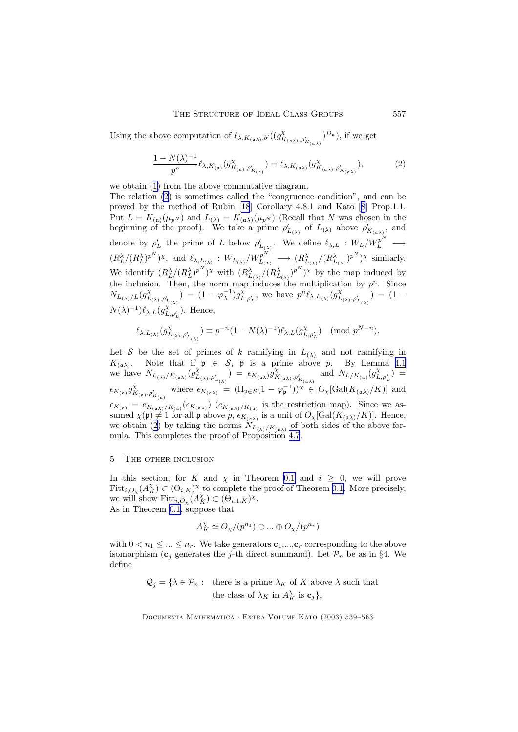Using the above computation of  $\ell_{\lambda,K_{(\mathfrak{a}\lambda)},b'}((g_{K_{(\mathfrak{a}\lambda)},\rho'_{K_{(\mathfrak{a}\lambda)}}}^X)^{D_{\mathfrak{a}}})$ , if we get

$$
\frac{1 - N(\lambda)^{-1}}{p^n} \ell_{\lambda, K_{(a)}}(g_{K_{(a)}, \rho'_{K_{(a)}}}') = \ell_{\lambda, K_{(a\lambda)}}(g_{K_{(a\lambda)}, \rho'_{K_{(a\lambda)}}}'^{\chi}),
$$
(2)

we obtain ([1\)](#page-16-0) from the above commutative diagram.

The relation (2) is sometimes called the "congruence condition", and can be proved by the method of Rubin [\[18](#page-24-0)] Corollary 4.8.1 and Kato [[8](#page-24-0)] Prop.1.1. Put  $L = K_{(a)}(\mu_{p^N})$  and  $L_{(\lambda)} = K_{(a\lambda)}(\mu_{p^N})$  (Recall that N was chosen in the beginning of the proof). We take a prime  $\rho'_{L_{(\lambda)}}$  of  $L_{(\lambda)}$  above  $\rho'_{K_{(\mathfrak{a}\lambda)}}$ , and denote by  $\rho'_{L}$  the prime of L below  $\rho'_{L_{(\lambda)}}$ . We define  $\ell_{\lambda,L} : W_{L}/W_{L}^{p^{N}} \longrightarrow$  $(R_L^{\lambda}/(R_L^{\lambda})^{p^N})^{\chi}$ , and  $\ell_{\lambda,L_{(\lambda)}} : W_{L_{(\lambda)}}/W_{L_{(\lambda)}}^{p^N}$  $L_{L(\lambda)}^{p^N} \longrightarrow (R_{L_{(\lambda)}}^{\lambda}/(R_{L_{(\lambda)}}^{\lambda})^{p^N})^{\chi}$  similarly. We identify  $(R_L^{\lambda}/(R_L^{\lambda})^{p^N})^{\chi}$  with  $(R_{L_{(\lambda)}}^{\lambda}/(R_{L_{(\lambda)}}^{\lambda})^{p^N})^{\chi}$  by the map induced by the inclusion. Then, the norm map induces the multiplication by  $p^n$ . Since  $N_{L_{(\lambda)}/L}(g_{L_{(\lambda)},\rho'_{L_{(\lambda)}}}') = (1 - \varphi_{\lambda}^{-1})g_{L,\rho'_{L}}^{\chi}, \text{ we have } p^{n}\ell_{\lambda,L_{(\lambda)}}(g_{L_{(\lambda)},\rho'_{L_{(\lambda)}}}') = (1 N(\lambda)^{-1})\ell_{\lambda,L}(g_{L,\rho'_L}^{\chi''})$ . Hence,

$$
\ell_{\lambda, L_{(\lambda)}}(g_{L_{(\lambda)}, \rho'_{L_{(\lambda)}}}^\chi) \equiv p^{-n}(1-N(\lambda)^{-1}) \ell_{\lambda, L}(g_{L, \rho'_L}^\chi) \pmod{p^{N-n}}.
$$

Let S be the set of primes of k ramifying in  $L_{(\lambda)}$  and not ramifying in  $K_{(\mathfrak{a}\lambda)}$ . Note that if  $\mathfrak{p} \in \mathcal{S}$ ,  $\mathfrak{p}$  is a prime above p. By Lemma [4.1](#page-11-0) we have  $N_{L_{(\lambda)}/K_{(\mathfrak{a}\lambda)}}(g_{L_{(\lambda)},\rho'_{L_{(\lambda)}}}^{\chi}) = \epsilon_{K_{(\mathfrak{a}\lambda)}g_{K_{(\mathfrak{a}\lambda)},\rho'_{K_{(\mathfrak{a}\lambda)}}}}$  and  $N_{L/K_{(\mathfrak{a})}}(g_{L,\rho'_{L}}^{\chi}) =$  $\epsilon_{K_{(a)}g}_{K_{(a)},\rho'_{K_{(a)}}}$  where  $\epsilon_{K_{(a\lambda)}} = (\Pi_{\mathfrak{p} \in \mathcal{S}}(1-\varphi_{\mathfrak{p}}^{-1}))^{\chi} \in O_{\chi}[\text{Gal}(K_{(a\lambda)}/K)]$  and  $\epsilon_{K_{(a)}} = c_{K_{(a\lambda)}/K_{(a)}}(\epsilon_{K_{(a\lambda)}})$  ( $c_{K_{(a\lambda)}/K_{(a)}}$  is the restriction map). Since we assumed  $\chi(\mathfrak{p}) \neq 1$  for all  $\mathfrak{p}$  above  $p$ ,  $\epsilon_{K_{(\mathfrak{a}\lambda)}}$  is a unit of  $O_{\chi}[\text{Gal}(K_{(\mathfrak{a}\lambda)}/K)]$ . Hence, we obtain (2) by taking the norms  $N_{L_{(\lambda)}/K_{(\mathfrak{a}\lambda)}}$  of both sides of the above formula. This completes the proof of Proposition [4.7](#page-15-0).

## 5 The other inclusion

In this section, for K and  $\chi$  in Theorem [0.1](#page-1-0) and  $i \geq 0$ , we will prove  $Fitt_{i,O_X}(A_K^{\chi}) \subset (\Theta_{i,K})^{\chi}$  to complete the proof of Theorem [0.1](#page-1-0). More precisely, we will show  $\text{Fitt}_{i,O_\chi}(A_K^{\chi}) \subset (\Theta_{i,1,K})^{\chi}$ . As in Theorem [0.1](#page-1-0), suppose that

$$
A_K^\chi \simeq O_\chi/(p^{n_1}) \oplus \ldots \oplus O_\chi/(p^{n_r})
$$

with  $0 < n_1 \leq \ldots \leq n_r$ . We take generators  $c_1, ..., c_r$  corresponding to the above isomorphism ( $\mathbf{c}_j$  generates the j-th direct summand). Let  $\mathcal{P}_n$  be as in §4. We define

> $\mathcal{Q}_j = \{\lambda \in \mathcal{P}_n : \text{ there is a prime } \lambda_K \text{ of } K \text{ above } \lambda \text{ such that }$ the class of  $\lambda_K$  in  $A_K^{\chi}$  is  $\mathbf{c}_j$ ,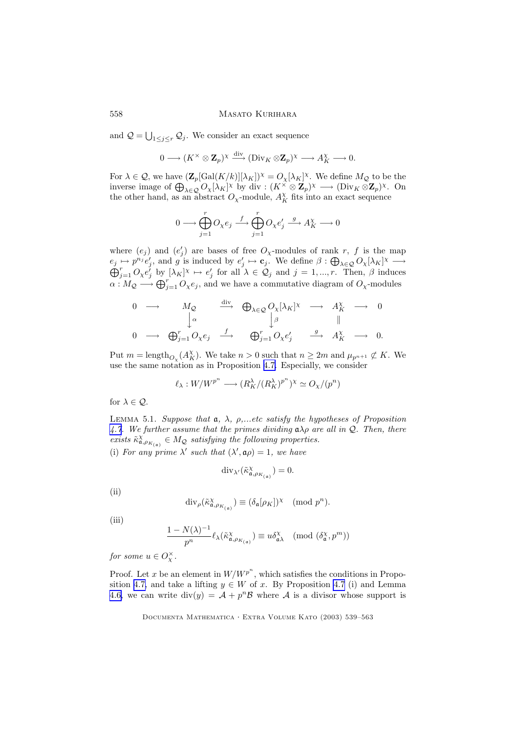and  $\mathcal{Q} = \bigcup_{1 \leq j \leq r} \mathcal{Q}_j$ . We consider an exact sequence

$$
0 \longrightarrow (K^{\times} \otimes \mathbf{Z}_{p})^{\chi} \stackrel{\text{div}}{\longrightarrow} (\text{Div}_{K} \otimes \mathbf{Z}_{p})^{\chi} \longrightarrow A_{K}^{\chi} \longrightarrow 0.
$$

For  $\lambda \in \mathcal{Q}$ , we have  $(\mathbf{Z}_p[\text{Gal}(K/k)][\lambda_K])^{\chi} = O_{\chi}[\lambda_K]^{\chi}$ . We define  $M_{\mathcal{Q}}$  to be the inverse image of  $\bigoplus_{\lambda \in \mathcal{Q}} O_{\chi}[\lambda_K]^{\chi}$  by div :  $(K^{\times} \otimes \mathbb{Z}_p)^{\chi} \longrightarrow (\text{Div}_K \otimes \mathbb{Z}_p)^{\chi}$ . On the other hand, as an abstract  $O_{\chi}$ -module,  $A_K^{\chi}$  fits into an exact sequence

$$
0 \longrightarrow \bigoplus_{j=1}^r O_{\chi} e_j \stackrel{f}{\longrightarrow} \bigoplus_{j=1}^r O_{\chi} e'_j \stackrel{g}{\longrightarrow} A_K^{\chi} \longrightarrow 0
$$

where  $(e_j)$  and  $(e'_j)$  are bases of free  $O_\chi$ -modules of rank r, f is the map  $e_j \mapsto p^{n_j} e'_j$ , and g is induced by  $e'_j \mapsto \mathbf{c}_j$ . We define  $\beta : \bigoplus_{\lambda \in \mathcal{Q}} O_{\chi}[\lambda_K]$  $\oplus$  $\mapsto p^{n_j}e'_j$ , and g is induced by  $e'_j \mapsto \mathbf{c}_j$ . We define  $\beta : \bigoplus_{\lambda \in \mathcal{Q}} O_{\chi}[\lambda_K]^{\chi} \longrightarrow$ <br> $\sum_{j=1}^r O_{\chi}e'_j$  by  $[\lambda_K]^{\chi} \mapsto e'_j$  for all  $\lambda \in \mathcal{Q}_j$  and  $j = 1, ..., r$ . Then,  $\beta$  induces  $\alpha: M_{\mathcal{Q}} \longrightarrow \bigoplus_{j=1}^r O_{\chi}e_j$ , and we have a commutative diagram of  $O_{\chi}$ -modules

$$
\begin{array}{ccccccc}\n0 & \longrightarrow & M_{\mathcal{Q}} & \xrightarrow{\text{div}} & \bigoplus_{\lambda \in \mathcal{Q}} O_{\chi}[\lambda_K]^{\chi} & \longrightarrow & A_K^{\chi} & \longrightarrow & 0 \\
& & \downarrow^{\alpha} & & \downarrow^{\beta} & & \parallel \\
0 & \longrightarrow & \bigoplus_{j=1}^{r} O_{\chi} e_j & \xrightarrow{f} & \bigoplus_{j=1}^{r} O_{\chi} e'_j & \xrightarrow{g} & A_K^{\chi} & \longrightarrow & 0.\n\end{array}
$$

Put  $m = \text{length}_{O_\chi}(A_K^{\chi})$ . We take  $n > 0$  such that  $n \geq 2m$  and  $\mu_{p^{n+1}} \not\subset K$ . We use the same notation as in Proposition [4.7.](#page-15-0) Especially, we consider

$$
\ell_\lambda: W/W^{p^n} \longrightarrow (R_K^\lambda/(R_K^\lambda)^{p^n})^\chi \simeq O_\chi/(p^n)
$$

for  $\lambda \in \mathcal{Q}$ .

LEMMA 5.1. Suppose that  $a, \lambda, \rho, \ldots$  etc satisfy the hypotheses of Proposition [4.7](#page-15-0). We further assume that the primes dividing  $a\lambda\rho$  are all in Q. Then, there exists  $\tilde{\kappa}^{\chi}_{\mathfrak{a},\rho_{K_{(\mathfrak{a})}}}\in M_{\mathcal{Q}}$  satisfying the following properties. (i) For any prime  $\lambda'$  such that  $(\lambda', \mathfrak{a}\rho) = 1$ , we have

$$
\mathrm{div}_{\lambda'}(\tilde{\kappa}_{\mathfrak{a},\rho_{K_{(\mathfrak{a})}}^{\chi}}^{\chi})=0.
$$

(ii)

$$
\mathrm{div}_{\rho}(\tilde{\kappa}_{\mathfrak{a},\rho_{K_{(\mathfrak{a})}}}) \equiv (\delta_{\mathfrak{a}}[\rho_{K}])^{\chi} \pmod{p^{n}}.
$$

(iii)

$$
\frac{1 - N(\lambda)^{-1}}{p^n} \ell_\lambda(\tilde{\kappa}_{\mathfrak{a},\rho_{K_{(\mathfrak{a})}}}) \equiv u \delta_{\mathfrak{a}\lambda}^\chi \pmod{(\delta_\mathfrak{a}^\chi,p^m)}
$$

for some  $u \in O_X^{\times}$ .

Proof. Let x be an element in  $W/W^{p^n}$ , which satisfies the conditions in Propo-sition [4.7,](#page-15-0) and take a lifting  $y \in W$  of x. By Proposition [4.7](#page-15-0) (i) and Lemma [4.6,](#page-15-0) we can write  $div(y) = A + p^n B$  where A is a divisor whose support is

<span id="page-19-0"></span>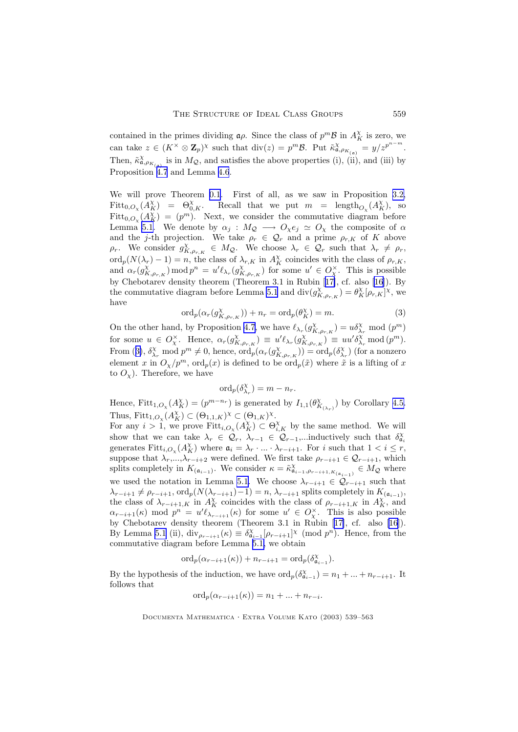contained in the primes dividing  $\mathfrak{a}\rho$ . Since the class of  $p^m\mathcal{B}$  in  $A_K^{\chi}$  is zero, we can take  $z \in (K^{\times} \otimes \mathbf{Z}_{p})^{\chi}$  such that  $\text{div}(z) = p^{m} \mathcal{B}$ . Put  $\tilde{\kappa}^{\chi}_{\mathfrak{a}, \rho_{K_{(\mathfrak{a})}}} = y/z^{p^{n-m}}$ . Then,  $\tilde{\kappa}^{\chi}_{\mathfrak{a},\rho_{K_{(\mathfrak{a})}}}$  is in  $M_{\mathcal{Q}}$ , and satisfies the above properties (i), (ii), and (iii) by Proposition [4.7](#page-15-0) and Lemma [4.6](#page-15-0).

We will prove Theorem [0.1](#page-1-0). First of all, as we saw in Proposition [3.2,](#page-10-0)  $Fitt_{0,O_\chi}(A_K^{\chi}) = \Theta_{0,K}^{\chi}$ . Recall that we put  $m = \text{length}_{O_\chi}(A_K^{\chi})$ , so  $Fitt_{0,O_x}(A_K^{\chi}) = (p^m)$ . Next, we consider the commutative diagram before Lemma [5.1.](#page-19-0) We denote by  $\alpha_j : M_{\mathcal{Q}} \longrightarrow O_{\chi} e_j \simeq O_{\chi}$  the composite of  $\alpha$ and the j-th projection. We take  $\rho_r \in \mathcal{Q}_r$  and a prime  $\rho_{r,K}$  of K above  $\rho_r$ . We consider  $g_{K,\rho_{r,K}}^{\chi} \in M_{\mathcal{Q}}$ . We choose  $\lambda_r \in \mathcal{Q}_r$  such that  $\lambda_r \neq \rho_r$ ,  $\mathrm{ord}_p(N(\lambda_r)-1)=n$ , the class of  $\lambda_{r,K}$  in  $A_K^{\chi}$  coincides with the class of  $\rho_{r,K}$ , and  $\alpha_r(g_{K,\rho_{r,K}}^{\chi}) \mod p^n = u'\ell_{\lambda_r}(g_{K,\rho_{r,K}}^{\chi})$  for some  $u' \in O_{\chi}^{\times}$ . This is possible by Chebotarev density theorem (Theorem 3.1 in Rubin [[17\]](#page-24-0), cf. also [\[16](#page-24-0)]). By the commutative diagram before Lemma [5.1](#page-19-0) and  $\text{div}(g_{K,\rho_{r,K}}^{\chi}) = \theta_K^{\chi}[\rho_{r,K}]^{\chi}$ , we have

$$
\operatorname{ord}_p(\alpha_r(g_{K,\rho_{r,K}}^\chi)) + n_r = \operatorname{ord}_p(\theta_K^\chi) = m. \tag{3}
$$

On the other hand, by Proposition [4.7](#page-15-0), we have  $\ell_{\lambda_r}(g_{K,\rho_{r,K}}^{\chi}) = u \delta_{\lambda_r}^{\chi} \mod (p^m)$ for some  $u \in O_X^{\times}$ . Hence,  $\alpha_r(g_{K,\rho_{r,K}}^{\chi}) \equiv u'\ell_{\lambda_r}(g_{K,\rho_{r,K}}^{\chi}) \equiv uu'\delta_{\lambda_r}^{\chi} \bmod (p^m)$ . From (3),  $\delta_{\lambda_r}^{\chi}$  mod  $p^m \neq 0$ , hence,  $\text{ord}_p(\alpha_r(g_{K,\rho_{r,K}}^{\chi})) = \text{ord}_p(\delta_{\lambda_r}^{\chi})$  (for a nonzero element x in  $O_x/p^m$ , ord<sub>p</sub> $(x)$  is defined to be ord<sub>p</sub> $(\tilde{x})$  where  $\tilde{x}$  is a lifting of x to  $O_\chi$ ). Therefore, we have

$$
\mathrm{ord}_p(\delta_{\lambda_r}^{\chi})=m-n_r.
$$

Hence, Fitt<sub>1, $O_\chi(A_K^{\chi}) = (p^{m-n_r})$  is generated by  $I_{1,1}(\theta_{K_{(\lambda_r)}}^{\chi})$  by Corollary [4.5.](#page-14-0)</sub> Thus,  $Fitt_{1,O_\chi}(A_K^{\chi}) \subset (\Theta_{1,1,K})^{\chi} \subset (\Theta_{1,K})^{\chi}$ .

For any  $i > 1$ , we prove Fitt<sub>i, $O_\chi(A_K^{\chi}) \subset \Theta_{i,K}^{\chi}$  by the same method. We will</sub> show that we can take  $\lambda_r \in \mathcal{Q}_r$ ,  $\lambda_{r-1} \in \mathcal{Q}_{r-1}$ ,...inductively such that  $\delta_{\mathfrak{a}_i}^{\chi}$ generates  $Fitt_{i,O_\chi}(A_K^{\chi})$  where  $\mathfrak{a}_i = \lambda_r \cdot ... \cdot \lambda_{r-i+1}$ . For i such that  $1 < i \leq r$ , suppose that  $\lambda_r, ..., \lambda_{r-i+2}$  were defined. We first take  $\rho_{r-i+1} \in \mathcal{Q}_{r-i+1}$ , which splits completely in  $K_{(\mathfrak{a}_{i-1})}$ . We consider  $\kappa = \tilde{\kappa}^{\chi}_{\mathfrak{a}_{i-1},\rho_{r-i+1},K_{(\mathfrak{a}_{i-1})}} \in M_{\mathcal{Q}}$  where we used the notation in Lemma [5.1](#page-19-0). We choose  $\lambda_{r-i+1} \in \mathcal{Q}_{r-i+1}$  such that  $\lambda_{r-i+1} \neq \rho_{r-i+1}, \text{ord}_p(N(\lambda_{r-i+1})-1) = n, \lambda_{r-i+1}$  splits completely in  $K_{(\mathfrak{a}_{i-1})}$ , the class of  $\lambda_{r-i+1,K}$  in  $A_K^{\chi}$  coincides with the class of  $\rho_{r-i+1,K}$  in  $A_K^{\chi}$ , and  $\alpha_{r-i+1}(\kappa) \mod p^n = u'\ell_{\lambda_{r-i+1}}(\kappa)$  for some  $u' \in O_{\chi}^{\times}$ . This is also possible by Chebotarev density theorem (Theorem 3.1 in Rubin [[17\]](#page-24-0), cf. also [[16\]](#page-24-0)). By Lemma [5.1](#page-19-0) (ii),  $\text{div}_{\rho_{r-i+1}}(\kappa) \equiv \delta_{\mathfrak{a}_{i-1}}^{\chi}[\rho_{r-i+1}]^{\chi} \pmod{p^n}$ . Hence, from the commutative diagram before Lemma [5.1,](#page-19-0) we obtain

$$
\mathrm{ord}_p(\alpha_{r-i+1}(\kappa))+n_{r-i+1}=\mathrm{ord}_p(\delta_{\mathfrak{a}_{i-1}}^\chi).
$$

By the hypothesis of the induction, we have  $\text{ord}_p(\delta_{\mathfrak{a}_{i-1}}^{\chi}) = n_1 + ... + n_{r-i+1}$ . It follows that

$$
\mathrm{ord}_p(\alpha_{r-i+1}(\kappa)) = n_1 + \ldots + n_{r-i}.
$$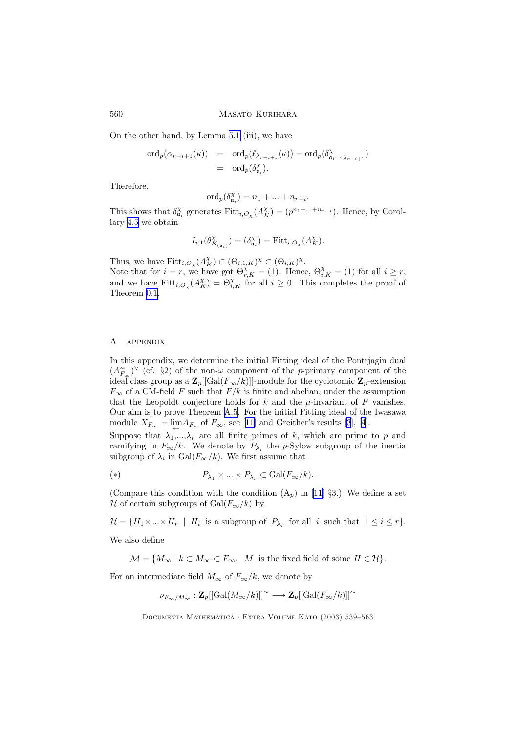On the other hand, by Lemma [5.1](#page-19-0) (iii), we have

$$
\begin{array}{rcl}\n\text{ord}_p(\alpha_{r-i+1}(\kappa)) & = & \text{ord}_p(\ell_{\lambda_{r-i+1}}(\kappa)) = \text{ord}_p(\delta_{\mathfrak{a}_{i-1}\lambda_{r-i+1}}^{\chi}) \\
& = & \text{ord}_p(\delta_{\mathfrak{a}_i}^{\chi}).\n\end{array}
$$

Therefore,

$$
\mathrm{ord}_p(\delta_{\mathfrak{a}_i}^{\chi}) = n_1 + \dots + n_{r-i}.
$$

This shows that  $\delta_{\mathfrak{a}_i}^{\chi}$  generates  $Fitt_{i,O_{\chi}}(A_K^{\chi}) = (p^{n_1 + \dots + n_{r-i}})$ . Hence, by Corollary [4.5](#page-14-0) we obtain

$$
I_{i,1}(\theta^{\chi}_{K(\mathfrak{a}_i)})=(\delta^{\chi}_{\mathfrak{a}_i})=\mathrm{Fitt}_{i,O_{\chi}}(A^{\chi}_{K}).
$$

Thus, we have  $Fitt_{i,O_\chi}(A_K^{\chi}) \subset (\Theta_{i,1,K})^{\chi} \subset (\Theta_{i,K})^{\chi}$ .

Note that for  $i = r$ , we have got  $\Theta_{r,K}^{\chi} = (1)$ . Hence,  $\Theta_{i,K}^{\chi} = (1)$  for all  $i \geq r$ , and we have  $Fitt_{i,O_\chi}(A_K^{\chi}) = \Theta_{i,K}^{\chi}$  for all  $i \geq 0$ . This completes the proof of Theorem [0.1.](#page-1-0)

#### A appendix

In this appendix, we determine the initial Fitting ideal of the Pontrjagin dual  $(A_{F_{\infty}}^{\sim})^{\vee}$  (cf. §2) of the non- $\omega$  component of the *p*-primary component of the ideal class group as a  $\mathbf{Z}_p[[\text{Gal}(F_{\infty}/k)]]$ -module for the cyclotomic  $\mathbf{Z}_p$ -extension  $F_{\infty}$  of a CM-field F such that  $F/k$  is finite and abelian, under the assumption that the Leopoldt conjecture holds for k and the  $\mu$ -invariant of F vanishes. Our aim is to prove Theorem [A.5.](#page-23-0) For the initial Fitting ideal of the Iwasawa module  $X_{F_{\infty}} = \lim_{\leftarrow} A_{F_n}$  of  $F_{\infty}$ , see [[11\]](#page-24-0) and Greither's results [\[3](#page-23-0)], [\[4](#page-23-0)].

Suppose that  $\lambda_1,...,\lambda_r$  are all finite primes of k, which are prime to p and ramifying in  $F_{\infty}/k$ . We denote by  $P_{\lambda_i}$  the p-Sylow subgroup of the inertia subgroup of  $\lambda_i$  in  $Gal(F_{\infty}/k)$ . We first assume that

(\*) 
$$
P_{\lambda_1} \times ... \times P_{\lambda_r} \subset \text{Gal}(F_{\infty}/k).
$$

(Compare this condition with the condition  $(A_p)$  in [\[11](#page-24-0)] §3.) We define a set H of certain subgroups of Gal $(F_{\infty}/k)$  by

 $\mathcal{H} = \{H_1 \times \ldots \times H_r \mid H_i \text{ is a subgroup of } P_{\lambda_i} \text{ for all } i \text{ such that } 1 \leq i \leq r\}.$ 

We also define

 $\mathcal{M} = \{M_{\infty} \mid k \subset M_{\infty} \subset F_{\infty}, \ M \text{ is the fixed field of some } H \in \mathcal{H}\}.$ 

For an intermediate field  $M_{\infty}$  of  $F_{\infty}/k$ , we denote by

$$
\nu_{F_\infty/M_\infty}: {\mathbf Z}_p[[\mathrm{Gal}(M_\infty/k)]]^\sim \longrightarrow {\mathbf Z}_p[[\mathrm{Gal}(F_\infty/k)]]^\sim
$$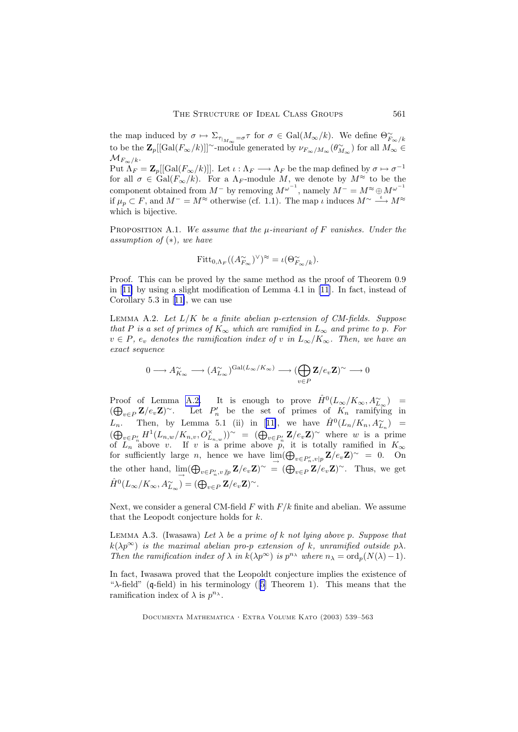<span id="page-22-0"></span>the map induced by  $\sigma \mapsto \Sigma_{\tau_{|_{M_{\infty}}}=\sigma} \tau$  for  $\sigma \in \text{Gal}(M_{\infty}/k)$ . We define  $\Theta_{F_{\infty}/k}^{\sim}$ to be the  $\mathbf{Z}_p[[\text{Gal}(F_{\infty}/k)]]^{\sim}$ -module generated by  $\nu_{F_{\infty}/M_{\infty}}(\theta_{M_{\infty}}^{\sim})$  for all  $M_{\infty} \in$  $\mathcal{M}_{F_{\infty}/k}.$ Put  $\Lambda_F = \mathbb{Z}_p[[\text{Gal}(F_{\infty}/k)]]$ . Let  $\iota : \Lambda_F \longrightarrow \Lambda_F$  be the map defined by  $\sigma \mapsto \sigma^{-1}$ for all  $\sigma \in \text{Gal}(F_{\infty}/k)$ . For a  $\Lambda_F$ -module M, we denote by  $M^{\approx}$  to be the component obtained from  $M^-$  by removing  $M^{\omega^{-1}}$ , namely  $M^- = M^{\infty} \oplus M^{\omega^{-1}}$ if  $\mu_p \subset F$ , and  $M^- = M^{\approx}$  otherwise (cf. 1.1). The map  $\iota$  induces  $M^{\sim} \longrightarrow M^{\approx}$ which is bijective.

PROPOSITION A.1. We assume that the  $\mu$ -invariant of F vanishes. Under the assumption of  $(*),$  we have

$$
\text{Fitt}_{0,\Lambda_F}((A_{F_{\infty}}^{\sim})^{\vee})^{\approx} = \iota(\Theta_{F_{\infty}/k}^{\sim}).
$$

Proof. This can be proved by the same method as the proof of Theorem 0.9 in [[11\]](#page-24-0) by using a slight modification of Lemma 4.1 in [\[11](#page-24-0)]. In fact, instead of Corollary 5.3 in [[11\]](#page-24-0), we can use

LEMMA A.2. Let  $L/K$  be a finite abelian p-extension of CM-fields. Suppose that P is a set of primes of  $K_{\infty}$  which are ramified in  $L_{\infty}$  and prime to p. For  $v \in P$ ,  $e_v$  denotes the ramification index of v in  $L_{\infty}/K_{\infty}$ . Then, we have an exact sequence

$$
0\longrightarrow A_{K_\infty}^\sim\longrightarrow (A_{L_\infty}^\sim)^{\mathrm{Gal}(L_\infty/K_\infty)}\longrightarrow (\bigoplus_{v\in P}\mathbf{Z}/e_v\mathbf{Z})^\sim\longrightarrow 0
$$

Proof of Lemma A.2. It is enough to prove  $\hat{H}^0(L_\infty/K_\infty,A_{L_\infty}^\sim)$  =  $(\bigoplus_{v\in P} \mathbf{Z}/e_v\mathbf{Z})^{\sim}$ . Let  $P'_n$  be the set of primes of  $K_n$  ramifying in  $L_n$ . Then, by Lemma 5.1 (ii) in [[11\]](#page-24-0), we have  $\hat{H}^0(L_n/K_n, A_{L_n}^{\sim})$  =  $(\bigoplus_{v\in P'_n} H^1(L_{n,w}/K_{n,v},O^{\times}_{L_{n,w}}))^{\sim} = (\bigoplus_{v\in P'_n} \mathbf{Z}/e_v\mathbf{Z})^{\sim}$  where w is a prime of  $L_n$  above v. If v is a prime above p, it is totally ramified in  $K_{\infty}$ for sufficiently large *n*, hence we have  $\lim_{\to} (\bigoplus_{v \in P'_n, v|p} \mathbf{Z}/e_v \mathbf{Z})^{\sim} = 0$ . On the other hand,  $\lim_{\to} (\bigoplus_{v \in P'_n, v \nmid p} \mathbf{Z}/e_v \mathbf{Z})^{\sim} = (\bigoplus_{v \in P} \mathbf{Z}/e_v \mathbf{Z})^{\sim}$ . Thus, we get  $\hat{H}^0(L_\infty/K_\infty,A_{L_\infty}^\sim)=(\bigoplus_{v\in P} \mathbf{Z}/e_v\mathbf{Z})^\sim.$ 

Next, we consider a general CM-field  $F$  with  $F/k$  finite and abelian. We assume that the Leopodt conjecture holds for k.

LEMMA A.3. (Iwasawa) Let  $\lambda$  be a prime of k not lying above p. Suppose that  $k(\lambda p^{\infty})$  is the maximal abelian pro-p extension of k, unramified outside p $\lambda$ . Then the ramification index of  $\lambda$  in  $k(\lambda p^{\infty})$  is  $p^{n_{\lambda}}$  where  $n_{\lambda} = \text{ord}_p(N(\lambda)-1)$ .

In fact, Iwasawa proved that the Leopoldt conjecture implies the existence of " $\lambda$ -field" (q-field) in his terminology ([\[5](#page-23-0)] Theorem 1). This means that the ramification index of  $\lambda$  is  $p^{n_{\lambda}}$ .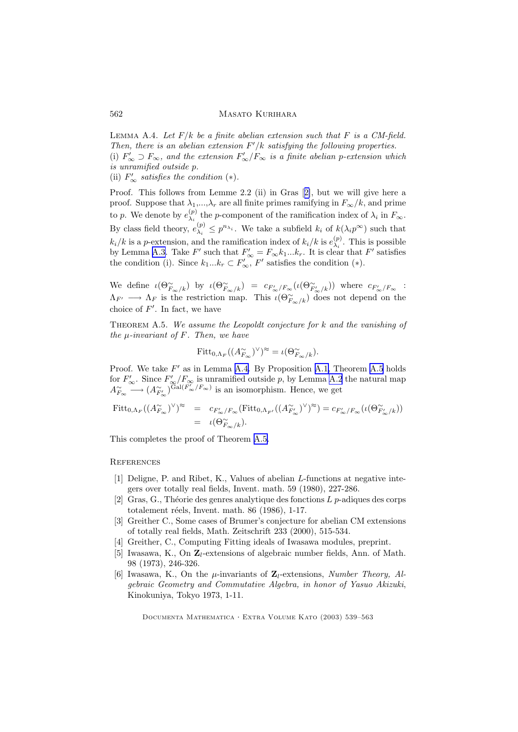<span id="page-23-0"></span>LEMMA A.4. Let  $F/k$  be a finite abelian extension such that F is a CM-field. Then, there is an abelian extension  $F'/k$  satisfying the following properties. (i)  $F'_{\infty} \supset F_{\infty}$ , and the extension  $F'_{\infty}/F_{\infty}$  is a finite abelian p-extension which is unramified outside p.

(ii)  $F'_{\infty}$  satisfies the condition (\*).

Proof. This follows from Lemme 2.2 (ii) in Gras [2], but we will give here a proof. Suppose that  $\lambda_1,...,\lambda_r$  are all finite primes ramifying in  $F_{\infty}/k$ , and prime to p. We denote by  $e_{\lambda}^{(p)}$  $\chi_i^{(p)}$  the p-component of the ramification index of  $\lambda_i$  in  $F_{\infty}$ . By class field theory,  $e_{\lambda_i}^{(p)}$  $\lambda_i^{(p)} \leq p^{n_{\lambda_i}}$ . We take a subfield  $k_i$  of  $k(\lambda_i p^{\infty})$  such that  $k_i/k$  is a p-extension, and the ramification index of  $k_i/k$  is  $e_{\lambda_i}^{(p)}$  $\lambda_i^{(p)}$ . This is possible by Lemma [A.3.](#page-22-0) Take  $F'$  such that  $F'_{\infty} = F_{\infty} k_1 ... k_r$ . It is clear that  $F'$  satisfies the condition (i). Since  $k_1...k_r \subset F'_{\infty}$ ,  $F'$  satisfies the condition (\*).

We define  $\iota(\Theta_{F_\infty/k}^\sim)$  by  $\iota(\Theta_{F_\infty/k}^\sim) = c_{F'_\infty/F_\infty}(\iota(\Theta_{F'_\infty/k}^\sim))$  where  $c_{F'_\infty/F_\infty}$  :  $\Lambda_{F'} \longrightarrow \Lambda_F$  is the restriction map. This  $\iota(\Theta_{F_{\infty}/k}^{\sim})$  does not depend on the choice of  $F'$ . In fact, we have

THEOREM A.5. We assume the Leopoldt conjecture for  $k$  and the vanishing of the  $\mu$ -invariant of F. Then, we have

$$
\text{Fitt}_{0,\Lambda_F}((A_{F_{\infty}}^{\sim})^{\vee})^{\approx} = \iota(\Theta_{F_{\infty}/k}^{\sim}).
$$

Proof. We take  $F'$  as in Lemma [A.4.](#page-22-0) By Proposition [A.1,](#page-22-0) Theorem A.5 holds for  $F'_{\infty}$ . Since  $F'_{\infty}/F_{\infty}$  is unramified outside p, by Lemma [A.2](#page-22-0) the natural map  $A_{F_{\infty}}^{\sim} \longrightarrow (A_{F_{\infty}}^{\sim})^{\widetilde{Gal}(F_{\infty}/F_{\infty})}$  is an isomorphism. Hence, we get

$$
Fitt_{0,\Lambda_F}((A_{F_{\infty}}^{\sim})^{\vee})^{\approx} = c_{F'_{\infty}/F_{\infty}}(Fitt_{0,\Lambda_{F'}}((A_{F'_{\infty}}^{\sim})^{\vee})^{\approx}) = c_{F'_{\infty}/F_{\infty}}(\iota(\Theta_{F'_{\infty}/k}^{\sim}))
$$
  
=  $\iota(\Theta_{F_{\infty}/k}^{\sim}).$ 

This completes the proof of Theorem A.5.

## **REFERENCES**

- [1] Deligne, P. and Ribet, K., Values of abelian L-functions at negative integers over totally real fields, Invent. math. 59 (1980), 227-286.
- [2] Gras, G., Théorie des genres analytique des fonctions  $L$  p-adiques des corps totalement réels, Invent. math.  $86$  (1986), 1-17.
- [3] Greither C., Some cases of Brumer's conjecture for abelian CM extensions of totally real fields, Math. Zeitschrift 233 (2000), 515-534.
- [4] Greither, C., Computing Fitting ideals of Iwasawa modules, preprint.
- [5] Iwasawa, K., On  $\mathbb{Z}_l$ -extensions of algebraic number fields, Ann. of Math. 98 (1973), 246-326.
- [6] Iwasawa, K., On the  $\mu$ -invariants of  $\mathbf{Z}_l$ -extensions, Number Theory, Algebraic Geometry and Commutative Algebra, in honor of Yasuo Akizuki, Kinokuniya, Tokyo 1973, 1-11.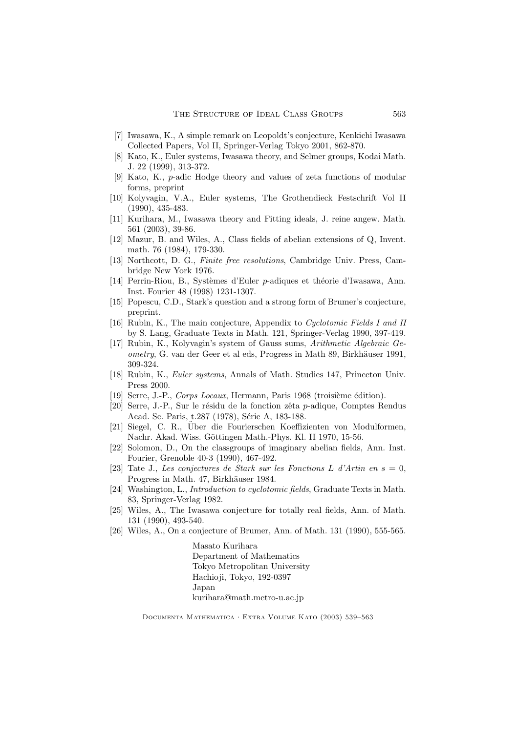- <span id="page-24-0"></span>[7] Iwasawa, K., A simple remark on Leopoldt's conjecture, Kenkichi Iwasawa Collected Papers, Vol II, Springer-Verlag Tokyo 2001, 862-870.
- [8] Kato, K., Euler systems, Iwasawa theory, and Selmer groups, Kodai Math. J. 22 (1999), 313-372.
- [9] Kato, K., p-adic Hodge theory and values of zeta functions of modular forms, preprint
- [10] Kolyvagin, V.A., Euler systems, The Grothendieck Festschrift Vol II (1990), 435-483.
- [11] Kurihara, M., Iwasawa theory and Fitting ideals, J. reine angew. Math. 561 (2003), 39-86.
- [12] Mazur, B. and Wiles, A., Class fields of abelian extensions of Q, Invent. math. 76 (1984), 179-330.
- [13] Northcott, D. G., Finite free resolutions, Cambridge Univ. Press, Cambridge New York 1976.
- [14] Perrin-Riou, B., Systèmes d'Euler p-adiques et théorie d'Iwasawa, Ann. Inst. Fourier 48 (1998) 1231-1307.
- [15] Popescu, C.D., Stark's question and a strong form of Brumer's conjecture, preprint.
- [16] Rubin, K., The main conjecture, Appendix to Cyclotomic Fields I and II by S. Lang, Graduate Texts in Math. 121, Springer-Verlag 1990, 397-419.
- [17] Rubin, K., Kolyvagin's system of Gauss sums, Arithmetic Algebraic Geometry, G. van der Geer et al eds, Progress in Math 89, Birkhäuser 1991, 309-324.
- [18] Rubin, K., Euler systems, Annals of Math. Studies 147, Princeton Univ. Press 2000.
- [19] Serre, J.-P., Corps Locaux, Hermann, Paris 1968 (troisième édition).
- [20] Serre, J.-P., Sur le résidu de la fonction zêta  $p$ -adique, Comptes Rendus Acad. Sc. Paris, t.287 (1978), Série A, 183-188.
- [21] Siegel, C. R., Über die Fourierschen Koeffizienten von Modulformen, Nachr. Akad. Wiss. Göttingen Math.-Phys. Kl. II 1970, 15-56.
- [22] Solomon, D., On the classgroups of imaginary abelian fields, Ann. Inst. Fourier, Grenoble 40-3 (1990), 467-492.
- [23] Tate J., Les conjectures de Stark sur les Fonctions L d'Artin en  $s = 0$ , Progress in Math. 47, Birkhäuser 1984.
- [24] Washington, L., Introduction to cyclotomic fields, Graduate Texts in Math. 83, Springer-Verlag 1982.
- [25] Wiles, A., The Iwasawa conjecture for totally real fields, Ann. of Math. 131 (1990), 493-540.
- [26] Wiles, A., On a conjecture of Brumer, Ann. of Math. 131 (1990), 555-565.

Masato Kurihara Department of Mathematics Tokyo Metropolitan University Hachioji, Tokyo, 192-0397 Japan kurihara@math.metro-u.ac.jp